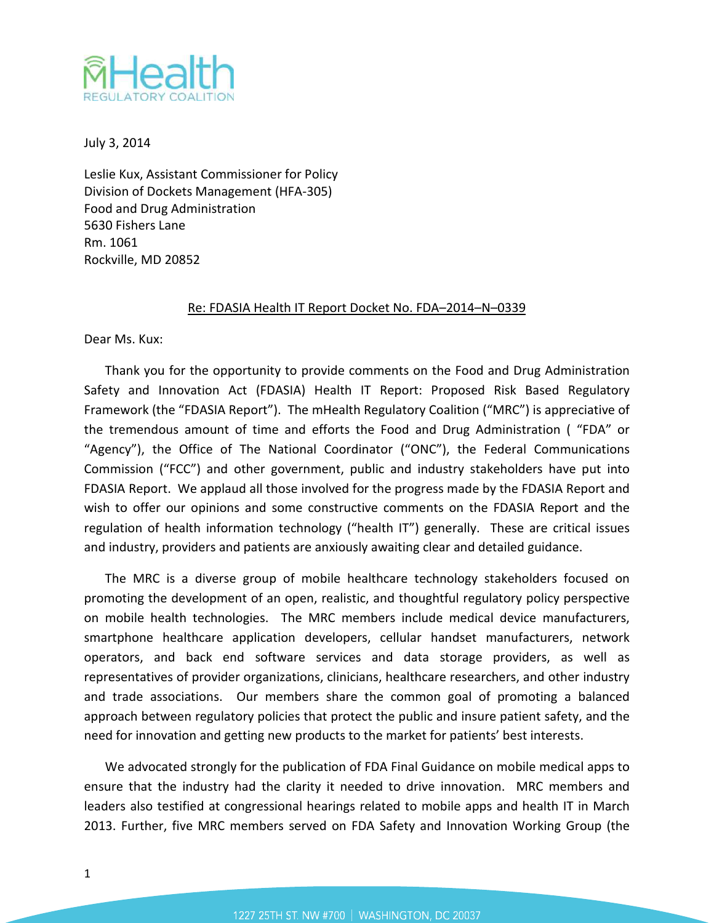

July 3, 2014

Leslie Kux, Assistant Commissioner for Policy Division of Dockets Management (HFA-305) Food and Drug Administration 5630 Fishers Lane Rm. 1061 Rockville, MD 20852

### Re: FDASIA Health IT Report Docket No. FDA–2014–N–0339

Dear Ms. Kux:

Thank you for the opportunity to provide comments on the Food and Drug Administration Safety and Innovation Act (FDASIA) Health IT Report: Proposed Risk Based Regulatory Framework (the "FDASIA Report"). The mHealth Regulatory Coalition ("MRC") is appreciative of the tremendous amount of time and efforts the Food and Drug Administration ( "FDA" or "Agency"), the Office of The National Coordinator ("ONC"), the Federal Communications Commission ("FCC") and other government, public and industry stakeholders have put into FDASIA Report. We applaud all those involved for the progress made by the FDASIA Report and wish to offer our opinions and some constructive comments on the FDASIA Report and the regulation of health information technology ("health IT") generally. These are critical issues and industry, providers and patients are anxiously awaiting clear and detailed guidance.

The MRC is a diverse group of mobile healthcare technology stakeholders focused on promoting the development of an open, realistic, and thoughtful regulatory policy perspective on mobile health technologies. The MRC members include medical device manufacturers, smartphone healthcare application developers, cellular handset manufacturers, network operators, and back end software services and data storage providers, as well as representatives of provider organizations, clinicians, healthcare researchers, and other industry and trade associations. Our members share the common goal of promoting a balanced approach between regulatory policies that protect the public and insure patient safety, and the need for innovation and getting new products to the market for patients' best interests.

We advocated strongly for the publication of FDA Final Guidance on mobile medical apps to ensure that the industry had the clarity it needed to drive innovation. MRC members and leaders also testified at congressional hearings related to mobile apps and health IT in March 2013. Further, five MRC members served on FDA Safety and Innovation Working Group (the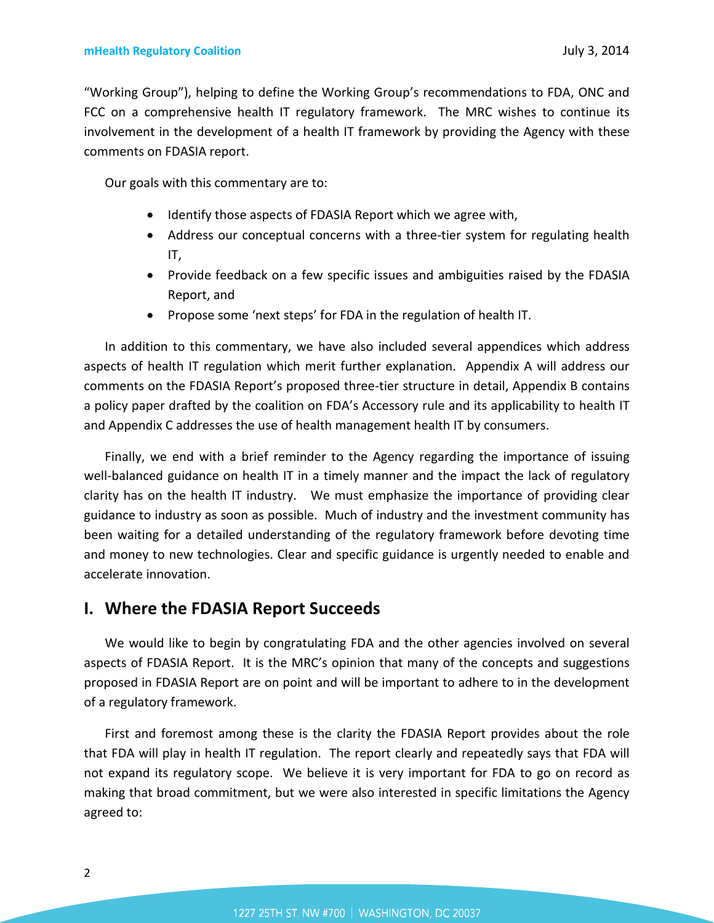"Working Group"), helping to define the Working Group's recommendations to FDA, ONC and FCC on a comprehensive health IT regulatory framework. The MRC wishes to continue its involvement in the development of a health IT framework by providing the Agency with these comments on FDASIA report.

Our goals with this commentary are to:

- Identify those aspects of FDASIA Report which we agree with,
- Address our conceptual concerns with a three-tier system for regulating health IT,
- Provide feedback on a few specific issues and ambiguities raised by the FDASIA Report, and
- Propose some 'next steps' for FDA in the regulation of health IT.

In addition to this commentary, we have also included several appendices which address aspects of health IT regulation which merit further explanation. Appendix A will address our comments on the FDASIA Report's proposed three-tier structure in detail, Appendix B contains a policy paper drafted by the coalition on FDA's Accessory rule and its applicability to health IT and Appendix C addresses the use of health management health IT by consumers.

Finally, we end with a brief reminder to the Agency regarding the importance of issuing well-balanced guidance on health IT in a timely manner and the impact the lack of regulatory clarity has on the health IT industry. We must emphasize the importance of providing clear guidance to industry as soon as possible. Much of industry and the investment community has been waiting for a detailed understanding of the regulatory framework before devoting time and money to new technologies. Clear and specific guidance is urgently needed to enable and accelerate innovation.

### **I. Where the FDASIA Report Succeeds**

We would like to begin by congratulating FDA and the other agencies involved on several aspects of FDASIA Report. It is the MRC's opinion that many of the concepts and suggestions proposed in FDASIA Report are on point and will be important to adhere to in the development of a regulatory framework.

First and foremost among these is the clarity the FDASIA Report provides about the role that FDA will play in health IT regulation. The report clearly and repeatedly says that FDA will not expand its regulatory scope. We believe it is very important for FDA to go on record as making that broad commitment, but we were also interested in specific limitations the Agency agreed to: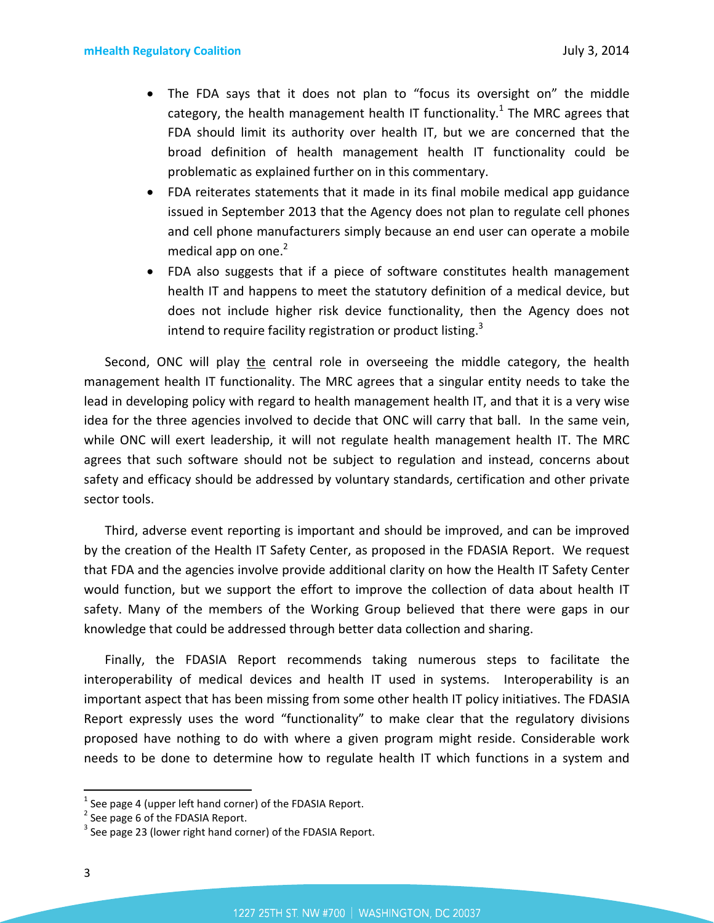- The FDA says that it does not plan to "focus its oversight on" the middle category, the health management health IT functionality.<sup>[1](#page-2-0)</sup> The MRC agrees that FDA should limit its authority over health IT, but we are concerned that the broad definition of health management health IT functionality could be problematic as explained further on in this commentary.
- FDA reiterates statements that it made in its final mobile medical app guidance issued in September 2013 that the Agency does not plan to regulate cell phones and cell phone manufacturers simply because an end user can operate a mobile medical app on one. $2$
- FDA also suggests that if a piece of software constitutes health management health IT and happens to meet the statutory definition of a medical device, but does not include higher risk device functionality, then the Agency does not intend to require facility registration or product listing.<sup>[3](#page-2-2)</sup>

Second, ONC will play the central role in overseeing the middle category, the health management health IT functionality. The MRC agrees that a singular entity needs to take the lead in developing policy with regard to health management health IT, and that it is a very wise idea for the three agencies involved to decide that ONC will carry that ball. In the same vein, while ONC will exert leadership, it will not regulate health management health IT. The MRC agrees that such software should not be subject to regulation and instead, concerns about safety and efficacy should be addressed by voluntary standards, certification and other private sector tools.

Third, adverse event reporting is important and should be improved, and can be improved by the creation of the Health IT Safety Center, as proposed in the FDASIA Report. We request that FDA and the agencies involve provide additional clarity on how the Health IT Safety Center would function, but we support the effort to improve the collection of data about health IT safety. Many of the members of the Working Group believed that there were gaps in our knowledge that could be addressed through better data collection and sharing.

Finally, the FDASIA Report recommends taking numerous steps to facilitate the interoperability of medical devices and health IT used in systems. Interoperability is an important aspect that has been missing from some other health IT policy initiatives. The FDASIA Report expressly uses the word "functionality" to make clear that the regulatory divisions proposed have nothing to do with where a given program might reside. Considerable work needs to be done to determine how to regulate health IT which functions in a system and

<span id="page-2-1"></span><span id="page-2-0"></span> $^{1}$  See page 4 (upper left hand corner) of the FDASIA Report.

<span id="page-2-2"></span><sup>&</sup>lt;sup>2</sup> See page 6 of the FDASIA Report.

 $3$  See page 23 (lower right hand corner) of the FDASIA Report.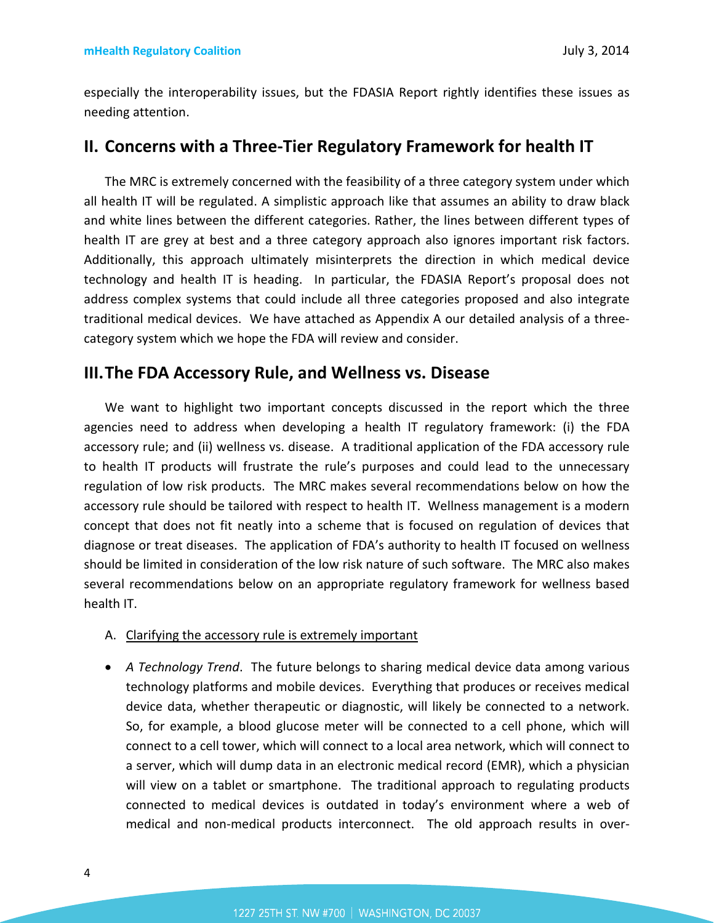especially the interoperability issues, but the FDASIA Report rightly identifies these issues as needing attention.

## **II. Concerns with a Three-Tier Regulatory Framework for health IT**

The MRC is extremely concerned with the feasibility of a three category system under which all health IT will be regulated. A simplistic approach like that assumes an ability to draw black and white lines between the different categories. Rather, the lines between different types of health IT are grey at best and a three category approach also ignores important risk factors. Additionally, this approach ultimately misinterprets the direction in which medical device technology and health IT is heading. In particular, the FDASIA Report's proposal does not address complex systems that could include all three categories proposed and also integrate traditional medical devices. We have attached as Appendix A our detailed analysis of a threecategory system which we hope the FDA will review and consider.

### **III.The FDA Accessory Rule, and Wellness vs. Disease**

We want to highlight two important concepts discussed in the report which the three agencies need to address when developing a health IT regulatory framework: (i) the FDA accessory rule; and (ii) wellness vs. disease. A traditional application of the FDA accessory rule to health IT products will frustrate the rule's purposes and could lead to the unnecessary regulation of low risk products. The MRC makes several recommendations below on how the accessory rule should be tailored with respect to health IT. Wellness management is a modern concept that does not fit neatly into a scheme that is focused on regulation of devices that diagnose or treat diseases. The application of FDA's authority to health IT focused on wellness should be limited in consideration of the low risk nature of such software. The MRC also makes several recommendations below on an appropriate regulatory framework for wellness based health IT.

- A. Clarifying the accessory rule is extremely important
- *A Technology Trend*. The future belongs to sharing medical device data among various technology platforms and mobile devices. Everything that produces or receives medical device data, whether therapeutic or diagnostic, will likely be connected to a network. So, for example, a blood glucose meter will be connected to a cell phone, which will connect to a cell tower, which will connect to a local area network, which will connect to a server, which will dump data in an electronic medical record (EMR), which a physician will view on a tablet or smartphone. The traditional approach to regulating products connected to medical devices is outdated in today's environment where a web of medical and non-medical products interconnect. The old approach results in over-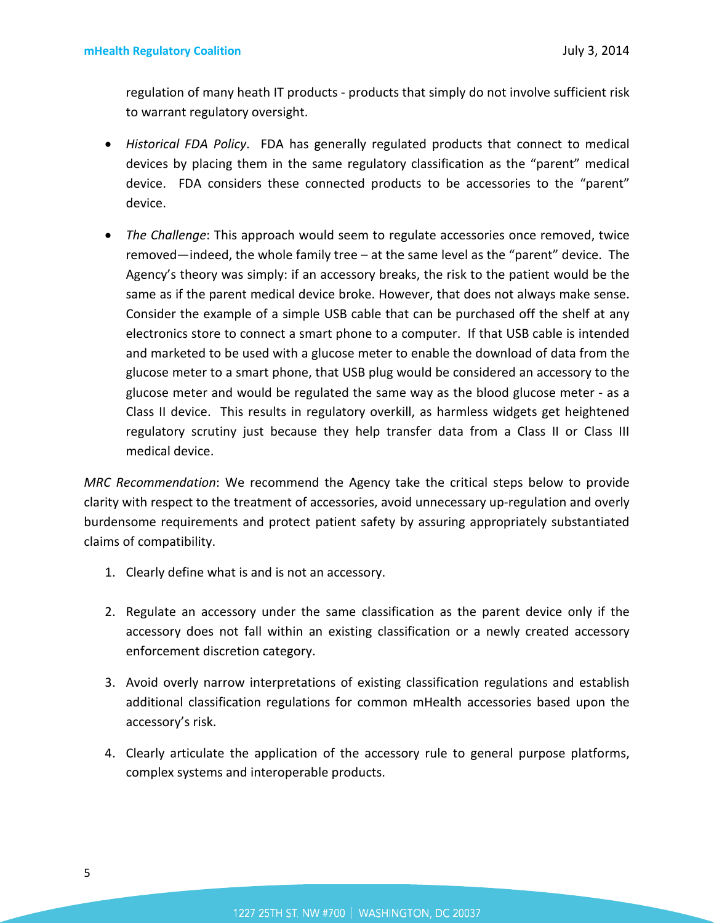regulation of many heath IT products - products that simply do not involve sufficient risk to warrant regulatory oversight.

- *Historical FDA Policy*. FDA has generally regulated products that connect to medical devices by placing them in the same regulatory classification as the "parent" medical device. FDA considers these connected products to be accessories to the "parent" device.
- *The Challenge*: This approach would seem to regulate accessories once removed, twice removed—indeed, the whole family tree – at the same level as the "parent" device. The Agency's theory was simply: if an accessory breaks, the risk to the patient would be the same as if the parent medical device broke. However, that does not always make sense. Consider the example of a simple USB cable that can be purchased off the shelf at any electronics store to connect a smart phone to a computer. If that USB cable is intended and marketed to be used with a glucose meter to enable the download of data from the glucose meter to a smart phone, that USB plug would be considered an accessory to the glucose meter and would be regulated the same way as the blood glucose meter - as a Class II device. This results in regulatory overkill, as harmless widgets get heightened regulatory scrutiny just because they help transfer data from a Class II or Class III medical device.

*MRC Recommendation*: We recommend the Agency take the critical steps below to provide clarity with respect to the treatment of accessories, avoid unnecessary up-regulation and overly burdensome requirements and protect patient safety by assuring appropriately substantiated claims of compatibility.

- 1. Clearly define what is and is not an accessory.
- 2. Regulate an accessory under the same classification as the parent device only if the accessory does not fall within an existing classification or a newly created accessory enforcement discretion category.
- 3. Avoid overly narrow interpretations of existing classification regulations and establish additional classification regulations for common mHealth accessories based upon the accessory's risk.
- 4. Clearly articulate the application of the accessory rule to general purpose platforms, complex systems and interoperable products.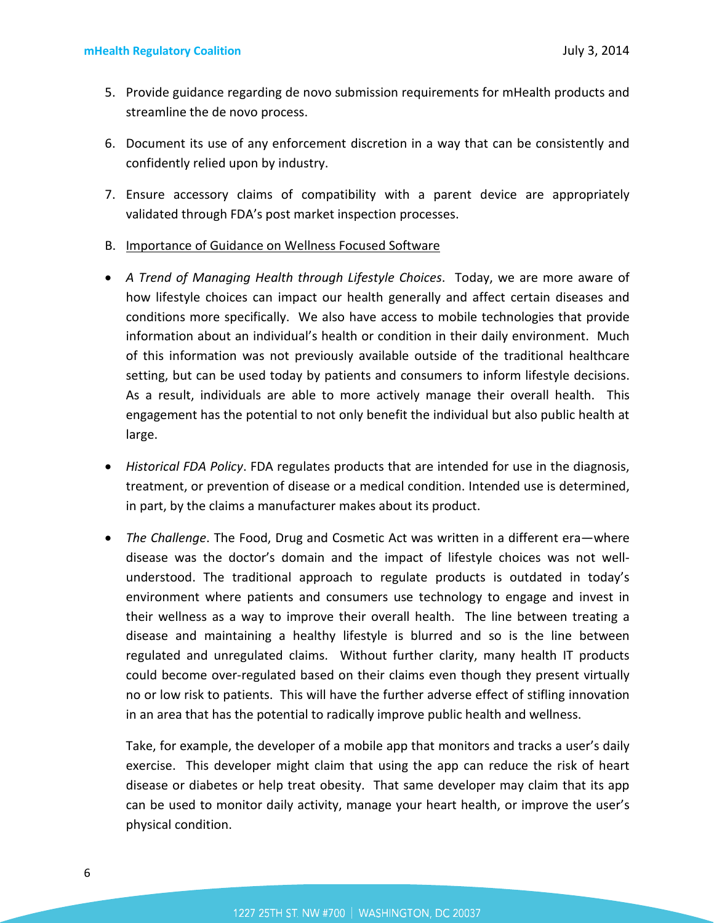- 5. Provide guidance regarding de novo submission requirements for mHealth products and streamline the de novo process.
- 6. Document its use of any enforcement discretion in a way that can be consistently and confidently relied upon by industry.
- 7. Ensure accessory claims of compatibility with a parent device are appropriately validated through FDA's post market inspection processes.
- B. Importance of Guidance on Wellness Focused Software
- *A Trend of Managing Health through Lifestyle Choices*. Today, we are more aware of how lifestyle choices can impact our health generally and affect certain diseases and conditions more specifically. We also have access to mobile technologies that provide information about an individual's health or condition in their daily environment. Much of this information was not previously available outside of the traditional healthcare setting, but can be used today by patients and consumers to inform lifestyle decisions. As a result, individuals are able to more actively manage their overall health. This engagement has the potential to not only benefit the individual but also public health at large.
- *Historical FDA Policy*. FDA regulates products that are intended for use in the diagnosis, treatment, or prevention of disease or a medical condition. Intended use is determined, in part, by the claims a manufacturer makes about its product.
- *The Challenge*. The Food, Drug and Cosmetic Act was written in a different era—where disease was the doctor's domain and the impact of lifestyle choices was not wellunderstood. The traditional approach to regulate products is outdated in today's environment where patients and consumers use technology to engage and invest in their wellness as a way to improve their overall health. The line between treating a disease and maintaining a healthy lifestyle is blurred and so is the line between regulated and unregulated claims. Without further clarity, many health IT products could become over-regulated based on their claims even though they present virtually no or low risk to patients. This will have the further adverse effect of stifling innovation in an area that has the potential to radically improve public health and wellness.

Take, for example, the developer of a mobile app that monitors and tracks a user's daily exercise. This developer might claim that using the app can reduce the risk of heart disease or diabetes or help treat obesity. That same developer may claim that its app can be used to monitor daily activity, manage your heart health, or improve the user's physical condition.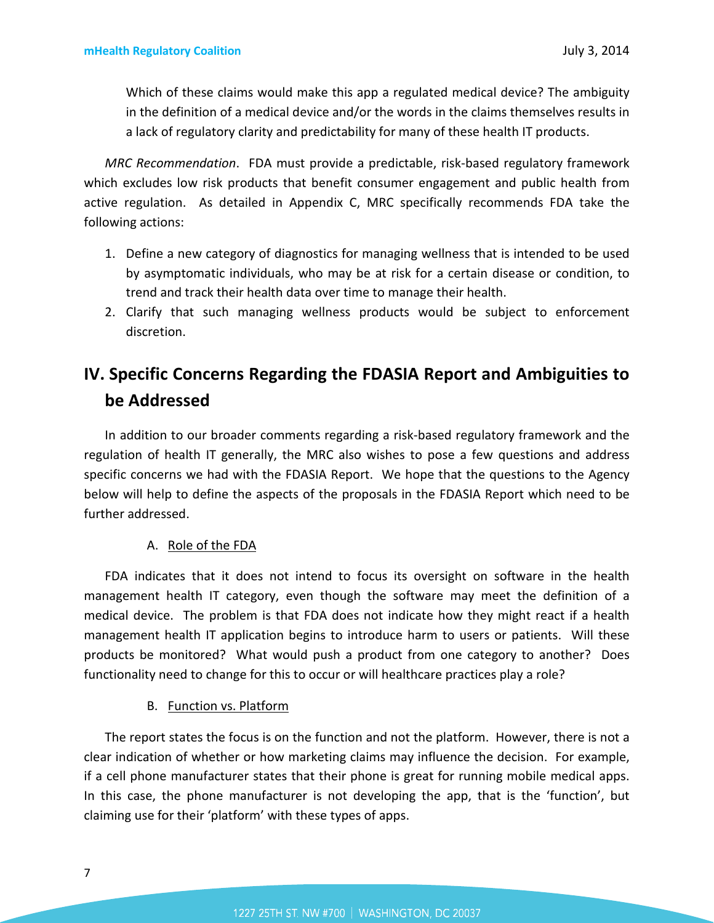Which of these claims would make this app a regulated medical device? The ambiguity in the definition of a medical device and/or the words in the claims themselves results in a lack of regulatory clarity and predictability for many of these health IT products.

*MRC Recommendation*. FDA must provide a predictable, risk-based regulatory framework which excludes low risk products that benefit consumer engagement and public health from active regulation. As detailed in Appendix C, MRC specifically recommends FDA take the following actions:

- 1. Define a new category of diagnostics for managing wellness that is intended to be used by asymptomatic individuals, who may be at risk for a certain disease or condition, to trend and track their health data over time to manage their health.
- 2. Clarify that such managing wellness products would be subject to enforcement discretion.

# **IV. Specific Concerns Regarding the FDASIA Report and Ambiguities to be Addressed**

In addition to our broader comments regarding a risk-based regulatory framework and the regulation of health IT generally, the MRC also wishes to pose a few questions and address specific concerns we had with the FDASIA Report. We hope that the questions to the Agency below will help to define the aspects of the proposals in the FDASIA Report which need to be further addressed.

### A. Role of the FDA

FDA indicates that it does not intend to focus its oversight on software in the health management health IT category, even though the software may meet the definition of a medical device. The problem is that FDA does not indicate how they might react if a health management health IT application begins to introduce harm to users or patients. Will these products be monitored? What would push a product from one category to another? Does functionality need to change for this to occur or will healthcare practices play a role?

### B. Function vs. Platform

The report states the focus is on the function and not the platform. However, there is not a clear indication of whether or how marketing claims may influence the decision. For example, if a cell phone manufacturer states that their phone is great for running mobile medical apps. In this case, the phone manufacturer is not developing the app, that is the 'function', but claiming use for their 'platform' with these types of apps.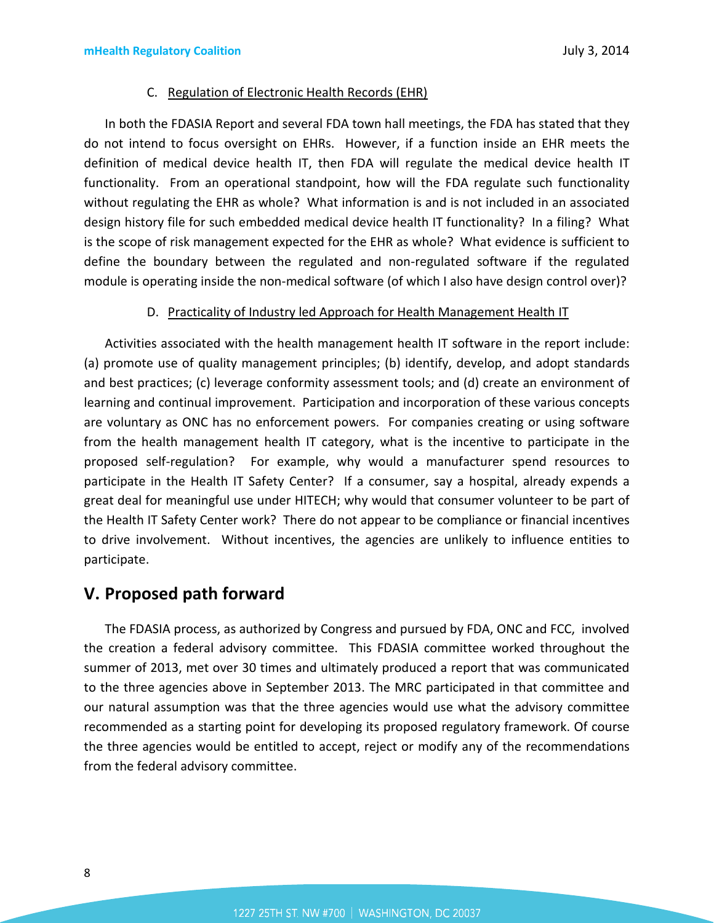### C. Regulation of Electronic Health Records (EHR)

In both the FDASIA Report and several FDA town hall meetings, the FDA has stated that they do not intend to focus oversight on EHRs. However, if a function inside an EHR meets the definition of medical device health IT, then FDA will regulate the medical device health IT functionality. From an operational standpoint, how will the FDA regulate such functionality without regulating the EHR as whole? What information is and is not included in an associated design history file for such embedded medical device health IT functionality? In a filing? What is the scope of risk management expected for the EHR as whole? What evidence is sufficient to define the boundary between the regulated and non-regulated software if the regulated module is operating inside the non-medical software (of which I also have design control over)?

### D. Practicality of Industry led Approach for Health Management Health IT

Activities associated with the health management health IT software in the report include: (a) promote use of quality management principles; (b) identify, develop, and adopt standards and best practices; (c) leverage conformity assessment tools; and (d) create an environment of learning and continual improvement. Participation and incorporation of these various concepts are voluntary as ONC has no enforcement powers. For companies creating or using software from the health management health IT category, what is the incentive to participate in the proposed self-regulation? For example, why would a manufacturer spend resources to participate in the Health IT Safety Center? If a consumer, say a hospital, already expends a great deal for meaningful use under HITECH; why would that consumer volunteer to be part of the Health IT Safety Center work? There do not appear to be compliance or financial incentives to drive involvement. Without incentives, the agencies are unlikely to influence entities to participate.

# **V. Proposed path forward**

The FDASIA process, as authorized by Congress and pursued by FDA, ONC and FCC, involved the creation a federal advisory committee. This FDASIA committee worked throughout the summer of 2013, met over 30 times and ultimately produced a report that was communicated to the three agencies above in September 2013. The MRC participated in that committee and our natural assumption was that the three agencies would use what the advisory committee recommended as a starting point for developing its proposed regulatory framework. Of course the three agencies would be entitled to accept, reject or modify any of the recommendations from the federal advisory committee.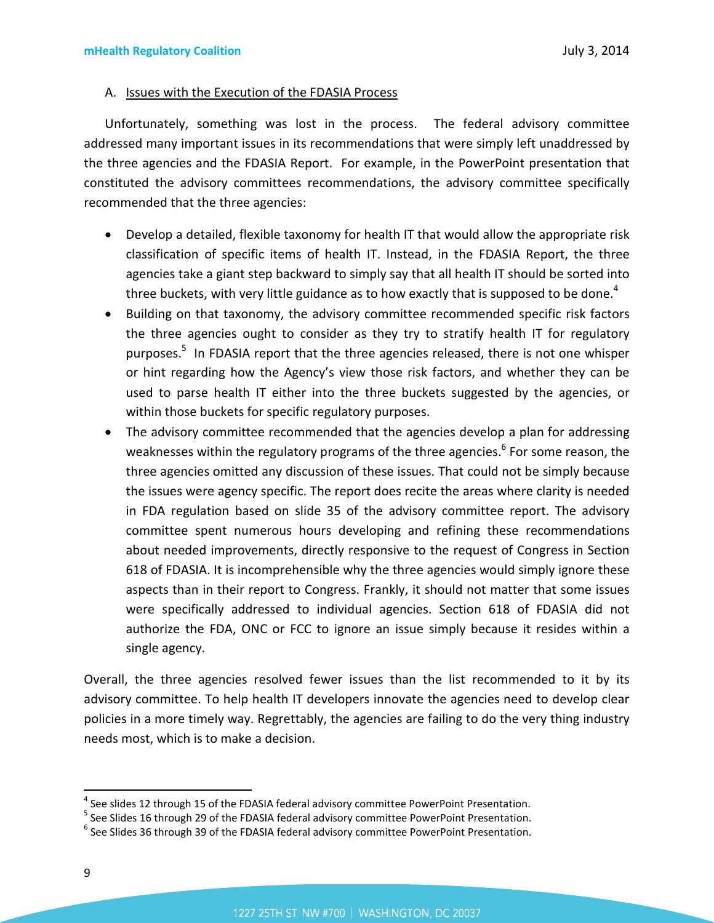#### A. Issues with the Execution of the FDASIA Process

Unfortunately, something was lost in the process. The federal advisory committee addressed many important issues in its recommendations that were simply left unaddressed by the three agencies and the FDASIA Report. For example, in the PowerPoint presentation that constituted the advisory committees recommendations, the advisory committee specifically recommended that the three agencies:

- Develop a detailed, flexible taxonomy for health IT that would allow the appropriate risk classification of specific items of health IT. Instead, in the FDASIA Report, the three agencies take a giant step backward to simply say that all health IT should be sorted into three buckets, with very little guidance as to how exactly that is supposed to be done.<sup>[4](#page-8-0)</sup>
- Building on that taxonomy, the advisory committee recommended specific risk factors the three agencies ought to consider as they try to stratify health IT for regulatory purposes.<sup>[5](#page-8-1)</sup> In FDASIA report that the three agencies released, there is not one whisper or hint regarding how the Agency's view those risk factors, and whether they can be used to parse health IT either into the three buckets suggested by the agencies, or within those buckets for specific regulatory purposes.
- The advisory committee recommended that the agencies develop a plan for addressing weaknesses within the regulatory programs of the three agencies.<sup>[6](#page-8-2)</sup> For some reason, the three agencies omitted any discussion of these issues. That could not be simply because the issues were agency specific. The report does recite the areas where clarity is needed in FDA regulation based on slide 35 of the advisory committee report. The advisory committee spent numerous hours developing and refining these recommendations about needed improvements, directly responsive to the request of Congress in Section 618 of FDASIA. It is incomprehensible why the three agencies would simply ignore these aspects than in their report to Congress. Frankly, it should not matter that some issues were specifically addressed to individual agencies. Section 618 of FDASIA did not authorize the FDA, ONC or FCC to ignore an issue simply because it resides within a single agency.

Overall, the three agencies resolved fewer issues than the list recommended to it by its advisory committee. To help health IT developers innovate the agencies need to develop clear policies in a more timely way. Regrettably, the agencies are failing to do the very thing industry needs most, which is to make a decision.

<span id="page-8-0"></span><sup>&</sup>lt;sup>4</sup> See slides 12 through 15 of the FDASIA federal advisory committee PowerPoint Presentation.

<span id="page-8-2"></span><span id="page-8-1"></span><sup>&</sup>lt;sup>5</sup> See Slides 16 through 29 of the FDASIA federal advisory committee PowerPoint Presentation.

 $^6$  See Slides 36 through 39 of the FDASIA federal advisory committee PowerPoint Presentation.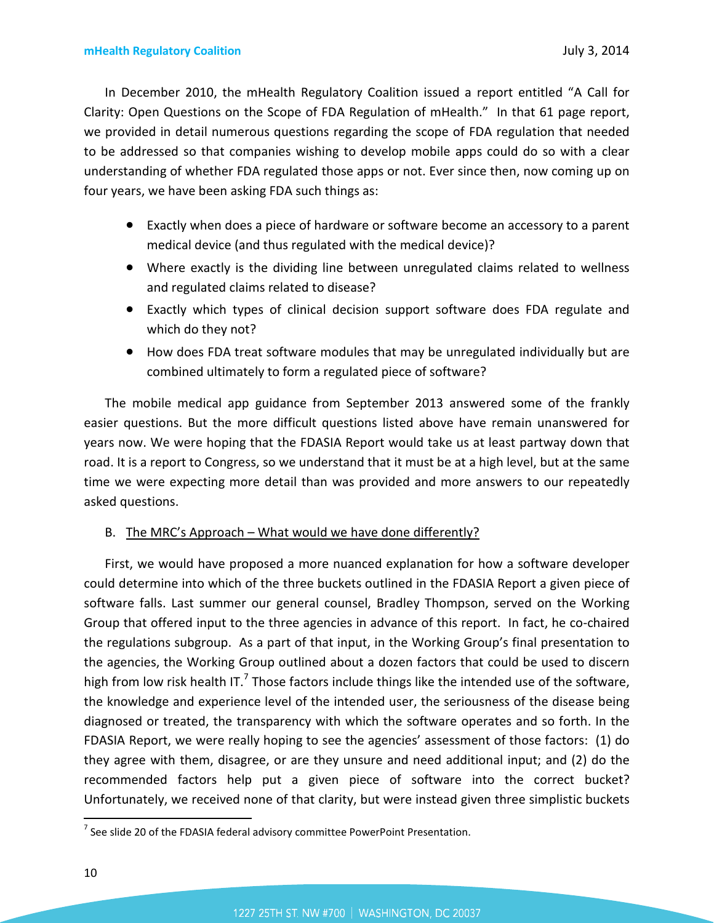In December 2010, the mHealth Regulatory Coalition issued a report entitled "A Call for Clarity: Open Questions on the Scope of FDA Regulation of mHealth." In that 61 page report, we provided in detail numerous questions regarding the scope of FDA regulation that needed to be addressed so that companies wishing to develop mobile apps could do so with a clear understanding of whether FDA regulated those apps or not. Ever since then, now coming up on four years, we have been asking FDA such things as:

- Exactly when does a piece of hardware or software become an accessory to a parent medical device (and thus regulated with the medical device)?
- Where exactly is the dividing line between unregulated claims related to wellness and regulated claims related to disease?
- Exactly which types of clinical decision support software does FDA regulate and which do they not?
- How does FDA treat software modules that may be unregulated individually but are combined ultimately to form a regulated piece of software?

The mobile medical app guidance from September 2013 answered some of the frankly easier questions. But the more difficult questions listed above have remain unanswered for years now. We were hoping that the FDASIA Report would take us at least partway down that road. It is a report to Congress, so we understand that it must be at a high level, but at the same time we were expecting more detail than was provided and more answers to our repeatedly asked questions.

### B. The MRC's Approach – What would we have done differently?

First, we would have proposed a more nuanced explanation for how a software developer could determine into which of the three buckets outlined in the FDASIA Report a given piece of software falls. Last summer our general counsel, Bradley Thompson, served on the Working Group that offered input to the three agencies in advance of this report. In fact, he co-chaired the regulations subgroup. As a part of that input, in the Working Group's final presentation to the agencies, the Working Group outlined about a dozen factors that could be used to discern highfrom low risk health IT.<sup>7</sup> Those factors include things like the intended use of the software, the knowledge and experience level of the intended user, the seriousness of the disease being diagnosed or treated, the transparency with which the software operates and so forth. In the FDASIA Report, we were really hoping to see the agencies' assessment of those factors: (1) do they agree with them, disagree, or are they unsure and need additional input; and (2) do the recommended factors help put a given piece of software into the correct bucket? Unfortunately, we received none of that clarity, but were instead given three simplistic buckets

<span id="page-9-0"></span> $^7$  See slide 20 of the FDASIA federal advisory committee PowerPoint Presentation.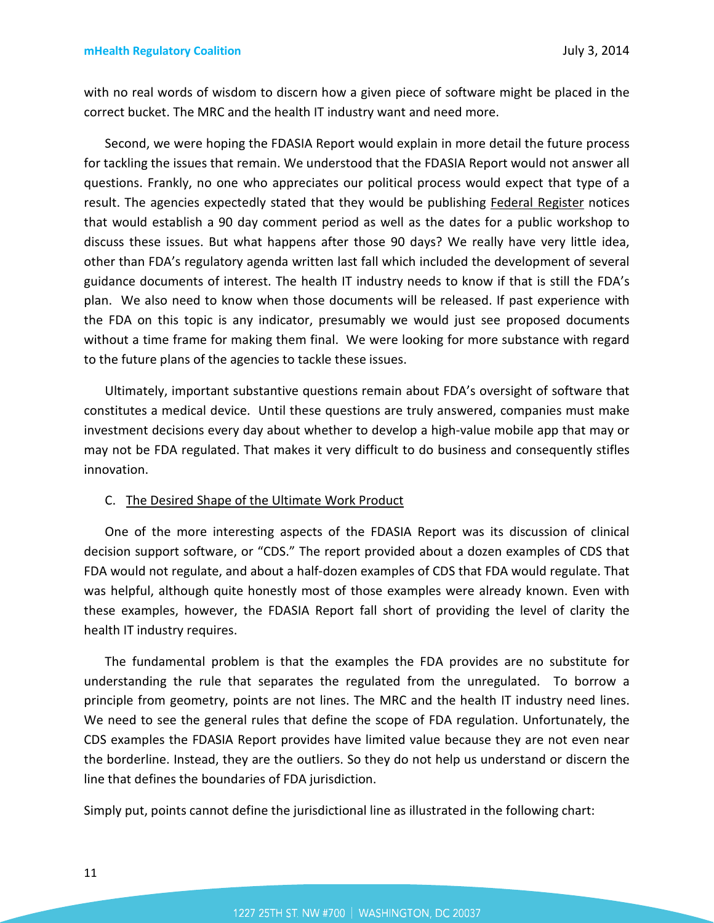with no real words of wisdom to discern how a given piece of software might be placed in the correct bucket. The MRC and the health IT industry want and need more.

Second, we were hoping the FDASIA Report would explain in more detail the future process for tackling the issues that remain. We understood that the FDASIA Report would not answer all questions. Frankly, no one who appreciates our political process would expect that type of a result. The agencies expectedly stated that they would be publishing Federal Register notices that would establish a 90 day comment period as well as the dates for a public workshop to discuss these issues. But what happens after those 90 days? We really have very little idea, other than FDA's regulatory agenda written last fall which included the development of several guidance documents of interest. The health IT industry needs to know if that is still the FDA's plan. We also need to know when those documents will be released. If past experience with the FDA on this topic is any indicator, presumably we would just see proposed documents without a time frame for making them final. We were looking for more substance with regard to the future plans of the agencies to tackle these issues.

Ultimately, important substantive questions remain about FDA's oversight of software that constitutes a medical device. Until these questions are truly answered, companies must make investment decisions every day about whether to develop a high-value mobile app that may or may not be FDA regulated. That makes it very difficult to do business and consequently stifles innovation.

#### C. The Desired Shape of the Ultimate Work Product

One of the more interesting aspects of the FDASIA Report was its discussion of clinical decision support software, or "CDS." The report provided about a dozen examples of CDS that FDA would not regulate, and about a half-dozen examples of CDS that FDA would regulate. That was helpful, although quite honestly most of those examples were already known. Even with these examples, however, the FDASIA Report fall short of providing the level of clarity the health IT industry requires.

The fundamental problem is that the examples the FDA provides are no substitute for understanding the rule that separates the regulated from the unregulated. To borrow a principle from geometry, points are not lines. The MRC and the health IT industry need lines. We need to see the general rules that define the scope of FDA regulation. Unfortunately, the CDS examples the FDASIA Report provides have limited value because they are not even near the borderline. Instead, they are the outliers. So they do not help us understand or discern the line that defines the boundaries of FDA jurisdiction.

Simply put, points cannot define the jurisdictional line as illustrated in the following chart: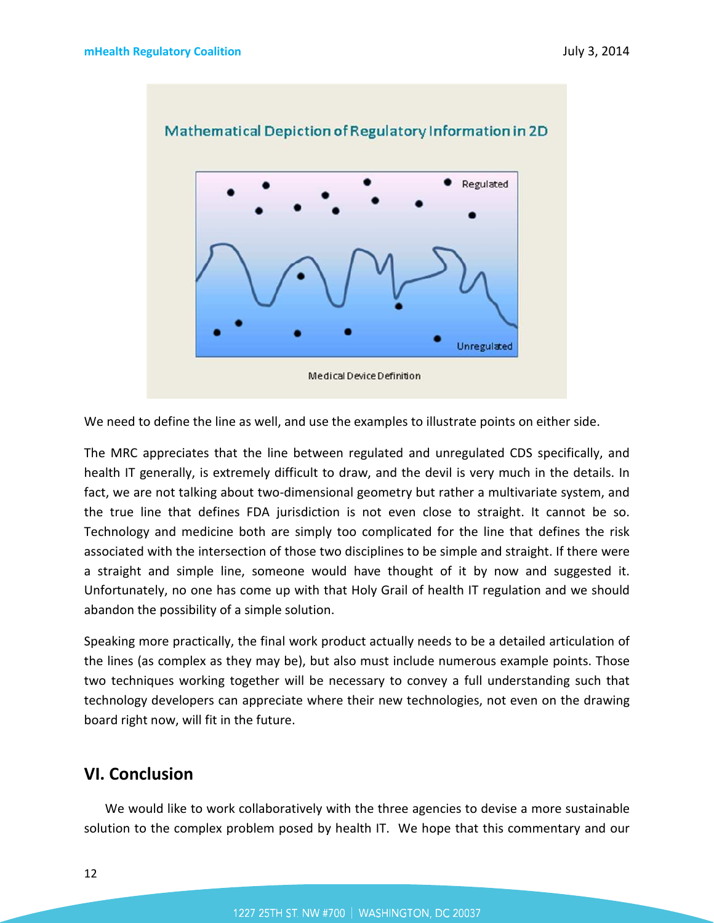

We need to define the line as well, and use the examples to illustrate points on either side.

The MRC appreciates that the line between regulated and unregulated CDS specifically, and health IT generally, is extremely difficult to draw, and the devil is very much in the details. In fact, we are not talking about two-dimensional geometry but rather a multivariate system, and the true line that defines FDA jurisdiction is not even close to straight. It cannot be so. Technology and medicine both are simply too complicated for the line that defines the risk associated with the intersection of those two disciplines to be simple and straight. If there were a straight and simple line, someone would have thought of it by now and suggested it. Unfortunately, no one has come up with that Holy Grail of health IT regulation and we should abandon the possibility of a simple solution.

Speaking more practically, the final work product actually needs to be a detailed articulation of the lines (as complex as they may be), but also must include numerous example points. Those two techniques working together will be necessary to convey a full understanding such that technology developers can appreciate where their new technologies, not even on the drawing board right now, will fit in the future.

# **VI. Conclusion**

We would like to work collaboratively with the three agencies to devise a more sustainable solution to the complex problem posed by health IT. We hope that this commentary and our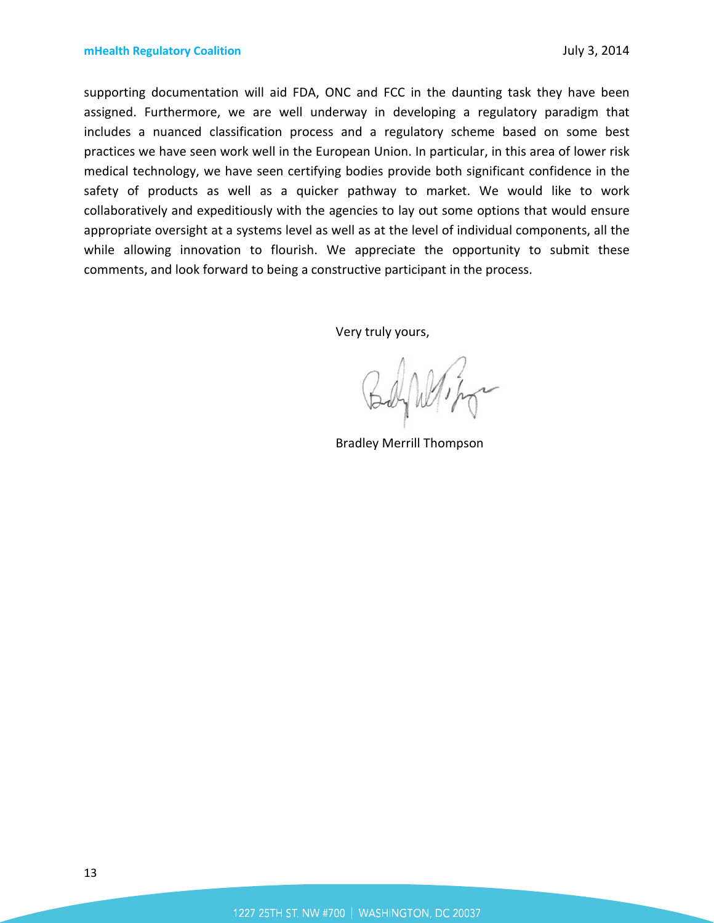supporting documentation will aid FDA, ONC and FCC in the daunting task they have been assigned. Furthermore, we are well underway in developing a regulatory paradigm that includes a nuanced classification process and a regulatory scheme based on some best practices we have seen work well in the European Union. In particular, in this area of lower risk medical technology, we have seen certifying bodies provide both significant confidence in the safety of products as well as a quicker pathway to market. We would like to work collaboratively and expeditiously with the agencies to lay out some options that would ensure appropriate oversight at a systems level as well as at the level of individual components, all the while allowing innovation to flourish. We appreciate the opportunity to submit these comments, and look forward to being a constructive participant in the process.

Very truly yours,

Bradley Merrill Thompson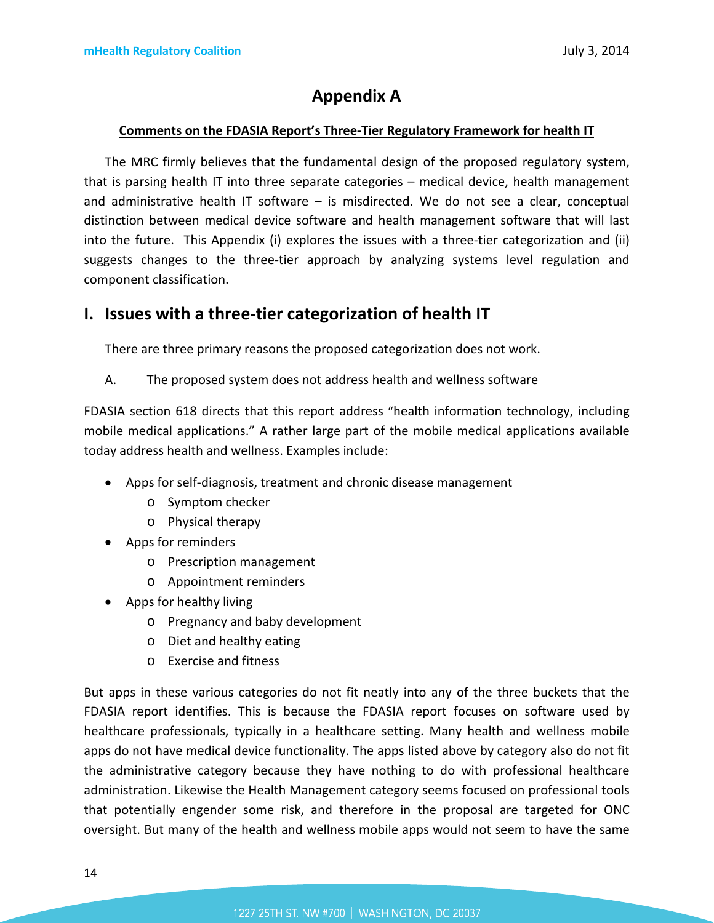# **Appendix A**

#### **Comments on the FDASIA Report's Three-Tier Regulatory Framework for health IT**

The MRC firmly believes that the fundamental design of the proposed regulatory system, that is parsing health IT into three separate categories – medical device, health management and administrative health IT software – is misdirected. We do not see a clear, conceptual distinction between medical device software and health management software that will last into the future. This Appendix (i) explores the issues with a three-tier categorization and (ii) suggests changes to the three-tier approach by analyzing systems level regulation and component classification.

# **I. Issues with a three-tier categorization of health IT**

There are three primary reasons the proposed categorization does not work.

A. The proposed system does not address health and wellness software

FDASIA section 618 directs that this report address "health information technology, including mobile medical applications." A rather large part of the mobile medical applications available today address health and wellness. Examples include:

- Apps for self-diagnosis, treatment and chronic disease management
	- o Symptom checker
	- o Physical therapy
- Apps for reminders
	- o Prescription management
	- o Appointment reminders
- Apps for healthy living
	- o Pregnancy and baby development
	- o Diet and healthy eating
	- o Exercise and fitness

But apps in these various categories do not fit neatly into any of the three buckets that the FDASIA report identifies. This is because the FDASIA report focuses on software used by healthcare professionals, typically in a healthcare setting. Many health and wellness mobile apps do not have medical device functionality. The apps listed above by category also do not fit the administrative category because they have nothing to do with professional healthcare administration. Likewise the Health Management category seems focused on professional tools that potentially engender some risk, and therefore in the proposal are targeted for ONC oversight. But many of the health and wellness mobile apps would not seem to have the same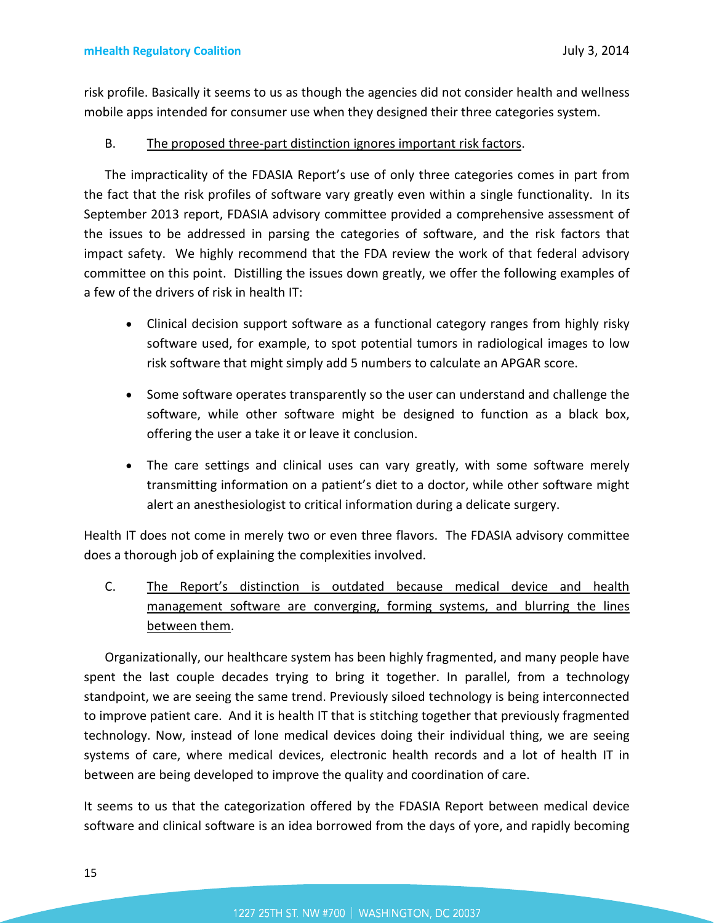risk profile. Basically it seems to us as though the agencies did not consider health and wellness mobile apps intended for consumer use when they designed their three categories system.

### B. The proposed three-part distinction ignores important risk factors.

The impracticality of the FDASIA Report's use of only three categories comes in part from the fact that the risk profiles of software vary greatly even within a single functionality. In its September 2013 report, FDASIA advisory committee provided a comprehensive assessment of the issues to be addressed in parsing the categories of software, and the risk factors that impact safety. We highly recommend that the FDA review the work of that federal advisory committee on this point. Distilling the issues down greatly, we offer the following examples of a few of the drivers of risk in health IT:

- Clinical decision support software as a functional category ranges from highly risky software used, for example, to spot potential tumors in radiological images to low risk software that might simply add 5 numbers to calculate an APGAR score.
- Some software operates transparently so the user can understand and challenge the software, while other software might be designed to function as a black box, offering the user a take it or leave it conclusion.
- The care settings and clinical uses can vary greatly, with some software merely transmitting information on a patient's diet to a doctor, while other software might alert an anesthesiologist to critical information during a delicate surgery.

Health IT does not come in merely two or even three flavors. The FDASIA advisory committee does a thorough job of explaining the complexities involved.

C. The Report's distinction is outdated because medical device and health management software are converging, forming systems, and blurring the lines between them.

Organizationally, our healthcare system has been highly fragmented, and many people have spent the last couple decades trying to bring it together. In parallel, from a technology standpoint, we are seeing the same trend. Previously siloed technology is being interconnected to improve patient care. And it is health IT that is stitching together that previously fragmented technology. Now, instead of lone medical devices doing their individual thing, we are seeing systems of care, where medical devices, electronic health records and a lot of health IT in between are being developed to improve the quality and coordination of care.

It seems to us that the categorization offered by the FDASIA Report between medical device software and clinical software is an idea borrowed from the days of yore, and rapidly becoming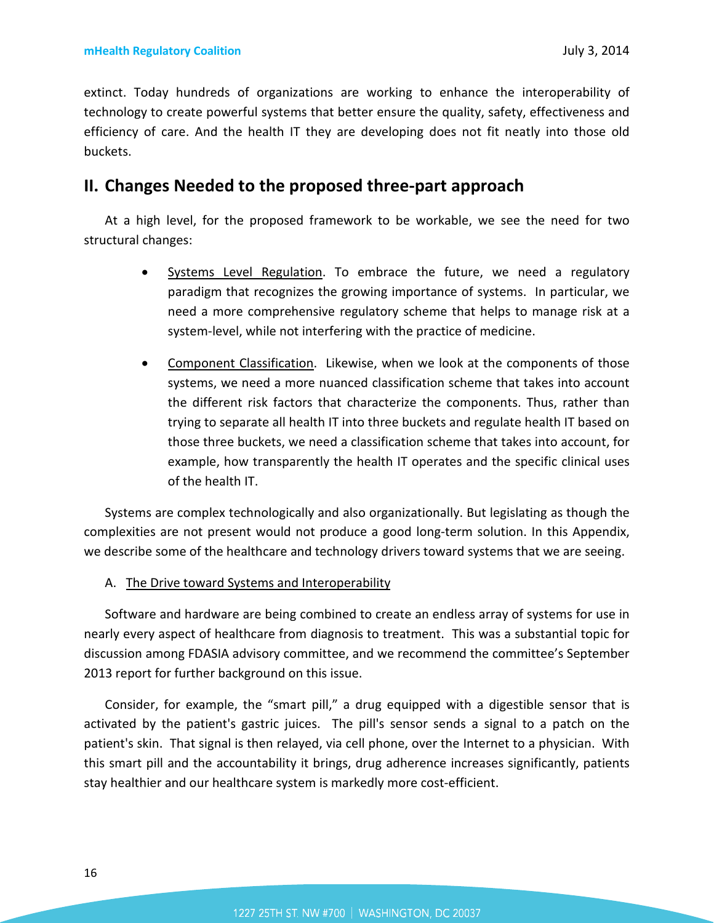extinct. Today hundreds of organizations are working to enhance the interoperability of technology to create powerful systems that better ensure the quality, safety, effectiveness and efficiency of care. And the health IT they are developing does not fit neatly into those old buckets.

# **II. Changes Needed to the proposed three-part approach**

At a high level, for the proposed framework to be workable, we see the need for two structural changes:

- Systems Level Regulation. To embrace the future, we need a regulatory paradigm that recognizes the growing importance of systems. In particular, we need a more comprehensive regulatory scheme that helps to manage risk at a system-level, while not interfering with the practice of medicine.
- Component Classification. Likewise, when we look at the components of those systems, we need a more nuanced classification scheme that takes into account the different risk factors that characterize the components. Thus, rather than trying to separate all health IT into three buckets and regulate health IT based on those three buckets, we need a classification scheme that takes into account, for example, how transparently the health IT operates and the specific clinical uses of the health IT.

Systems are complex technologically and also organizationally. But legislating as though the complexities are not present would not produce a good long-term solution. In this Appendix, we describe some of the healthcare and technology drivers toward systems that we are seeing.

### A. The Drive toward Systems and Interoperability

Software and hardware are being combined to create an endless array of systems for use in nearly every aspect of healthcare from diagnosis to treatment. This was a substantial topic for discussion among FDASIA advisory committee, and we recommend the committee's September 2013 report for further background on this issue.

Consider, for example, the "smart pill," a drug equipped with a digestible sensor that is activated by the patient's gastric juices. The pill's sensor sends a signal to a patch on the patient's skin. That signal is then relayed, via cell phone, over the Internet to a physician. With this smart pill and the accountability it brings, drug adherence increases significantly, patients stay healthier and our healthcare system is markedly more cost-efficient.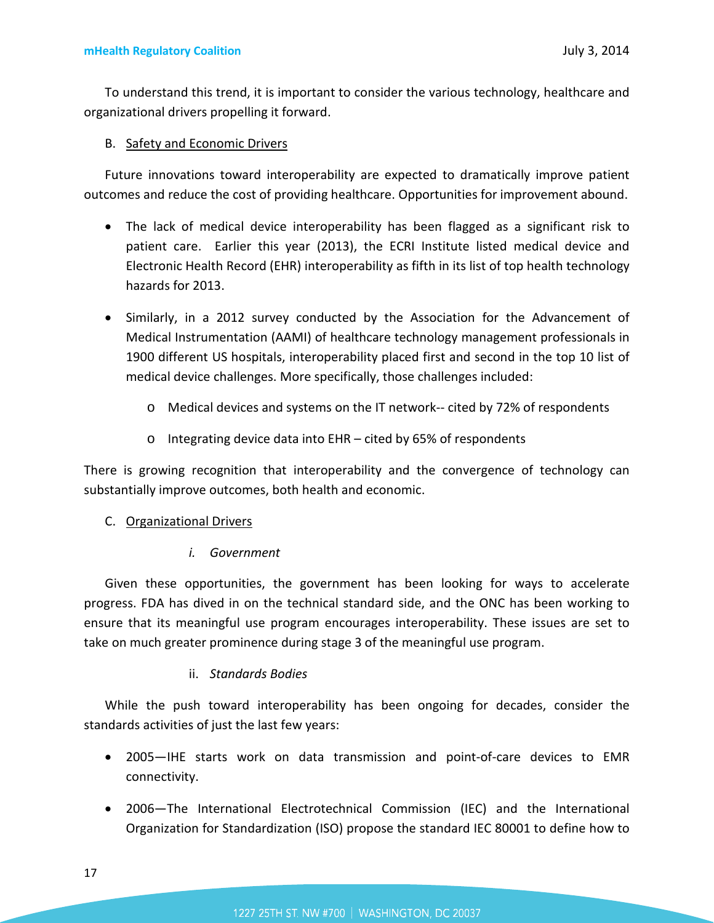To understand this trend, it is important to consider the various technology, healthcare and organizational drivers propelling it forward.

### B. Safety and Economic Drivers

Future innovations toward interoperability are expected to dramatically improve patient outcomes and reduce the cost of providing healthcare. Opportunities for improvement abound.

- The lack of medical device interoperability has been flagged as a significant risk to patient care. Earlier this year (2013), the ECRI Institute listed medical device and Electronic Health Record (EHR) interoperability as fifth in its list of top health technology hazards for 2013.
- Similarly, in a 2012 survey conducted by the Association for the Advancement of Medical Instrumentation (AAMI) of healthcare technology management professionals in 1900 different US hospitals, interoperability placed first and second in the top 10 list of medical device challenges. More specifically, those challenges included:
	- o Medical devices and systems on the IT network-- cited by 72% of respondents
	- o Integrating device data into EHR cited by 65% of respondents

There is growing recognition that interoperability and the convergence of technology can substantially improve outcomes, both health and economic.

### C. Organizational Drivers

### *i. Government*

Given these opportunities, the government has been looking for ways to accelerate progress. FDA has dived in on the technical standard side, and the ONC has been working to ensure that its meaningful use program encourages interoperability. These issues are set to take on much greater prominence during stage 3 of the meaningful use program.

### ii. *Standards Bodies*

While the push toward interoperability has been ongoing for decades, consider the standards activities of just the last few years:

- 2005—IHE starts work on data transmission and point-of-care devices to EMR connectivity.
- 2006—The International Electrotechnical Commission (IEC) and the International Organization for Standardization (ISO) propose the standard IEC 80001 to define how to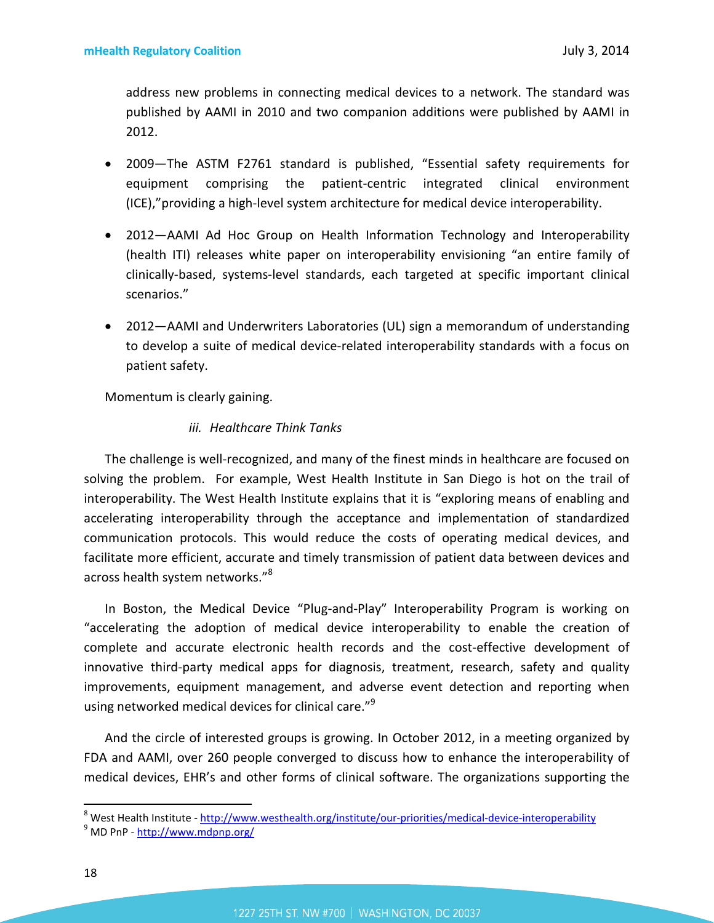address new problems in connecting medical devices to a network. The standard was published by AAMI in 2010 and two companion additions were published by AAMI in 2012.

- 2009—The ASTM F2761 standard is published, "Essential safety requirements for equipment comprising the patient-centric integrated clinical environment (ICE),"providing a high-level system architecture for medical device interoperability.
- 2012—AAMI Ad Hoc Group on Health Information Technology and Interoperability (health ITI) releases white paper on interoperability envisioning "an entire family of clinically-based, systems-level standards, each targeted at specific important clinical scenarios."
- 2012—AAMI and Underwriters Laboratories (UL) sign a memorandum of understanding to develop a suite of medical device-related interoperability standards with a focus on patient safety.

Momentum is clearly gaining.

### *iii. Healthcare Think Tanks*

The challenge is well-recognized, and many of the finest minds in healthcare are focused on solving the problem. For example, West Health Institute in San Diego is hot on the trail of interoperability. The West Health Institute explains that it is "exploring means of enabling and accelerating interoperability through the acceptance and implementation of standardized communication protocols. This would reduce the costs of operating medical devices, and facilitate more efficient, accurate and timely transmission of patient data between devices and across health system networks."<sup>[8](#page-17-0)</sup>

In Boston, the Medical Device "Plug-and-Play" Interoperability Program is working on "accelerating the adoption of medical device interoperability to enable the creation of complete and accurate electronic health records and the cost-effective development of innovative third-party medical apps for diagnosis, treatment, research, safety and quality improvements, equipment management, and adverse event detection and reporting when using networked medical devices for clinical care."<sup>[9](#page-17-1)</sup>

And the circle of interested groups is growing. In October 2012, in a meeting organized by FDA and AAMI, over 260 people converged to discuss how to enhance the interoperability of medical devices, EHR's and other forms of clinical software. The organizations supporting the

<span id="page-17-0"></span><sup>&</sup>lt;sup>8</sup> West Health Institute - http://www.westhealth.org/institute/our-priorities/medical-device-interoperability

<span id="page-17-1"></span><sup>&</sup>lt;sup>9</sup> MD PnP - http://www.mdpnp.org/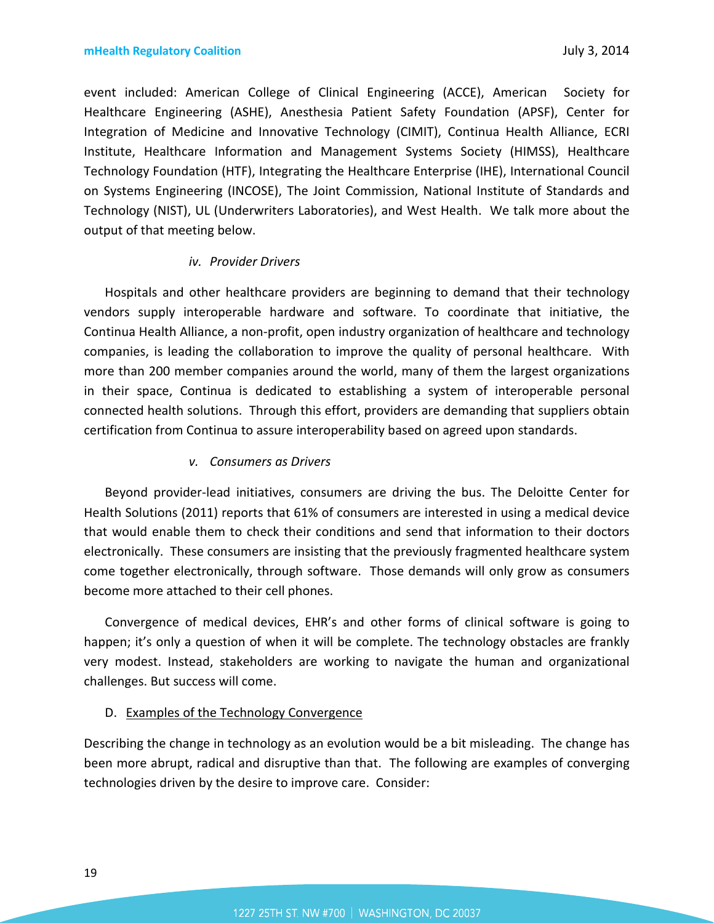event included: American College of Clinical Engineering (ACCE), American Society for Healthcare Engineering (ASHE), Anesthesia Patient Safety Foundation (APSF), Center for Integration of Medicine and Innovative Technology (CIMIT), Continua Health Alliance, ECRI Institute, Healthcare Information and Management Systems Society (HIMSS), Healthcare Technology Foundation (HTF), Integrating the Healthcare Enterprise (IHE), International Council on Systems Engineering (INCOSE), The Joint Commission, National Institute of Standards and Technology (NIST), UL (Underwriters Laboratories), and West Health. We talk more about the output of that meeting below.

#### *iv. Provider Drivers*

Hospitals and other healthcare providers are beginning to demand that their technology vendors supply interoperable hardware and software. To coordinate that initiative, the Continua Health Alliance, a non-profit, open industry organization of healthcare and technology companies, is leading the collaboration to improve the quality of personal healthcare. With more than 200 member companies around the world, many of them the largest organizations in their space, Continua is dedicated to establishing a system of interoperable personal connected health solutions. Through this effort, providers are demanding that suppliers obtain certification from Continua to assure interoperability based on agreed upon standards.

### *v. Consumers as Drivers*

Beyond provider-lead initiatives, consumers are driving the bus. The Deloitte Center for Health Solutions (2011) reports that 61% of consumers are interested in using a medical device that would enable them to check their conditions and send that information to their doctors electronically. These consumers are insisting that the previously fragmented healthcare system come together electronically, through software. Those demands will only grow as consumers become more attached to their cell phones.

Convergence of medical devices, EHR's and other forms of clinical software is going to happen; it's only a question of when it will be complete. The technology obstacles are frankly very modest. Instead, stakeholders are working to navigate the human and organizational challenges. But success will come.

#### D. Examples of the Technology Convergence

Describing the change in technology as an evolution would be a bit misleading. The change has been more abrupt, radical and disruptive than that. The following are examples of converging technologies driven by the desire to improve care. Consider: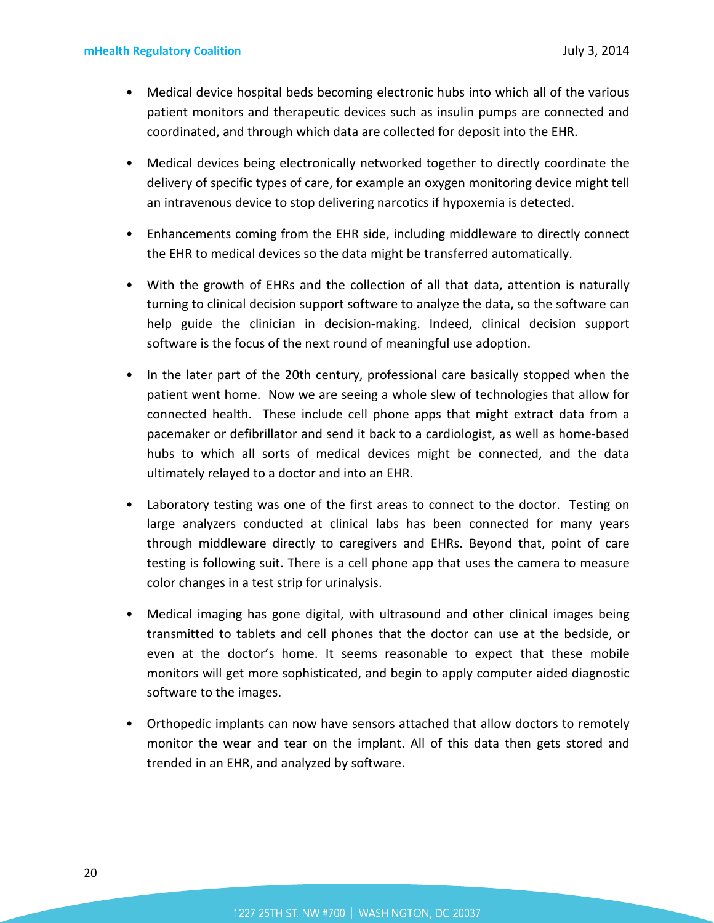- Medical device hospital beds becoming electronic hubs into which all of the various patient monitors and therapeutic devices such as insulin pumps are connected and coordinated, and through which data are collected for deposit into the EHR.
- Medical devices being electronically networked together to directly coordinate the delivery of specific types of care, for example an oxygen monitoring device might tell an intravenous device to stop delivering narcotics if hypoxemia is detected.
- Enhancements coming from the EHR side, including middleware to directly connect the EHR to medical devices so the data might be transferred automatically.
- With the growth of EHRs and the collection of all that data, attention is naturally turning to clinical decision support software to analyze the data, so the software can help guide the clinician in decision-making. Indeed, clinical decision support software is the focus of the next round of meaningful use adoption.
- In the later part of the 20th century, professional care basically stopped when the patient went home. Now we are seeing a whole slew of technologies that allow for connected health. These include cell phone apps that might extract data from a pacemaker or defibrillator and send it back to a cardiologist, as well as home-based hubs to which all sorts of medical devices might be connected, and the data ultimately relayed to a doctor and into an EHR.
- Laboratory testing was one of the first areas to connect to the doctor. Testing on large analyzers conducted at clinical labs has been connected for many years through middleware directly to caregivers and EHRs. Beyond that, point of care testing is following suit. There is a cell phone app that uses the camera to measure color changes in a test strip for urinalysis.
- Medical imaging has gone digital, with ultrasound and other clinical images being transmitted to tablets and cell phones that the doctor can use at the bedside, or even at the doctor's home. It seems reasonable to expect that these mobile monitors will get more sophisticated, and begin to apply computer aided diagnostic software to the images.
- Orthopedic implants can now have sensors attached that allow doctors to remotely monitor the wear and tear on the implant. All of this data then gets stored and trended in an EHR, and analyzed by software.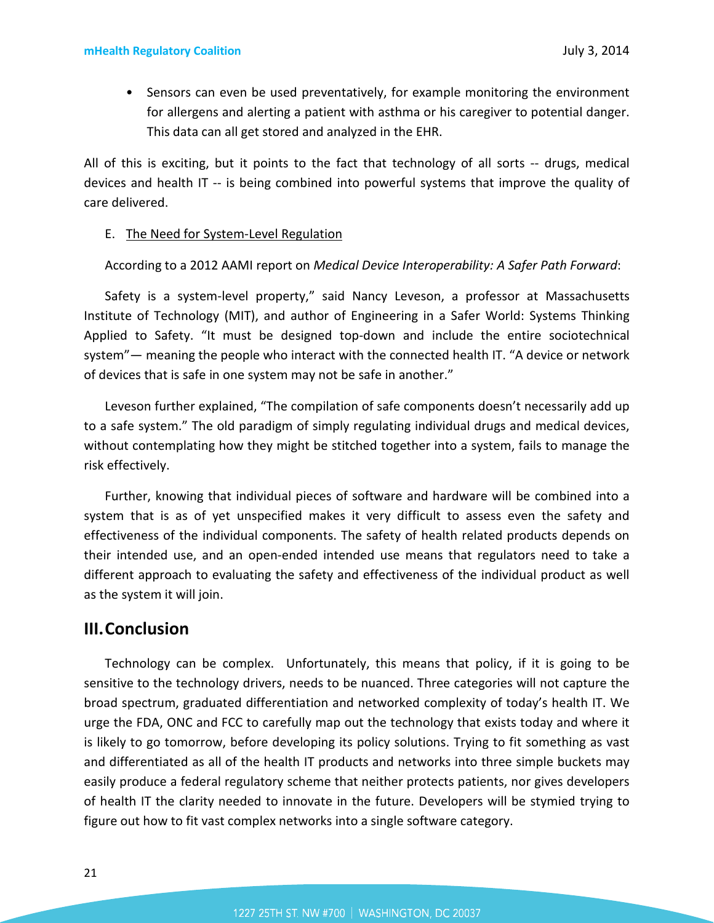• Sensors can even be used preventatively, for example monitoring the environment for allergens and alerting a patient with asthma or his caregiver to potential danger. This data can all get stored and analyzed in the EHR.

All of this is exciting, but it points to the fact that technology of all sorts -- drugs, medical devices and health IT -- is being combined into powerful systems that improve the quality of care delivered.

#### E. The Need for System-Level Regulation

According to a 2012 AAMI report on *Medical Device Interoperability: A Safer Path Forward*:

Safety is a system-level property," said Nancy Leveson, a professor at Massachusetts Institute of Technology (MIT), and author of Engineering in a Safer World: Systems Thinking Applied to Safety. "It must be designed top-down and include the entire sociotechnical system"— meaning the people who interact with the connected health IT. "A device or network of devices that is safe in one system may not be safe in another."

Leveson further explained, "The compilation of safe components doesn't necessarily add up to a safe system." The old paradigm of simply regulating individual drugs and medical devices, without contemplating how they might be stitched together into a system, fails to manage the risk effectively.

Further, knowing that individual pieces of software and hardware will be combined into a system that is as of yet unspecified makes it very difficult to assess even the safety and effectiveness of the individual components. The safety of health related products depends on their intended use, and an open-ended intended use means that regulators need to take a different approach to evaluating the safety and effectiveness of the individual product as well as the system it will join.

### **III.Conclusion**

Technology can be complex. Unfortunately, this means that policy, if it is going to be sensitive to the technology drivers, needs to be nuanced. Three categories will not capture the broad spectrum, graduated differentiation and networked complexity of today's health IT. We urge the FDA, ONC and FCC to carefully map out the technology that exists today and where it is likely to go tomorrow, before developing its policy solutions. Trying to fit something as vast and differentiated as all of the health IT products and networks into three simple buckets may easily produce a federal regulatory scheme that neither protects patients, nor gives developers of health IT the clarity needed to innovate in the future. Developers will be stymied trying to figure out how to fit vast complex networks into a single software category.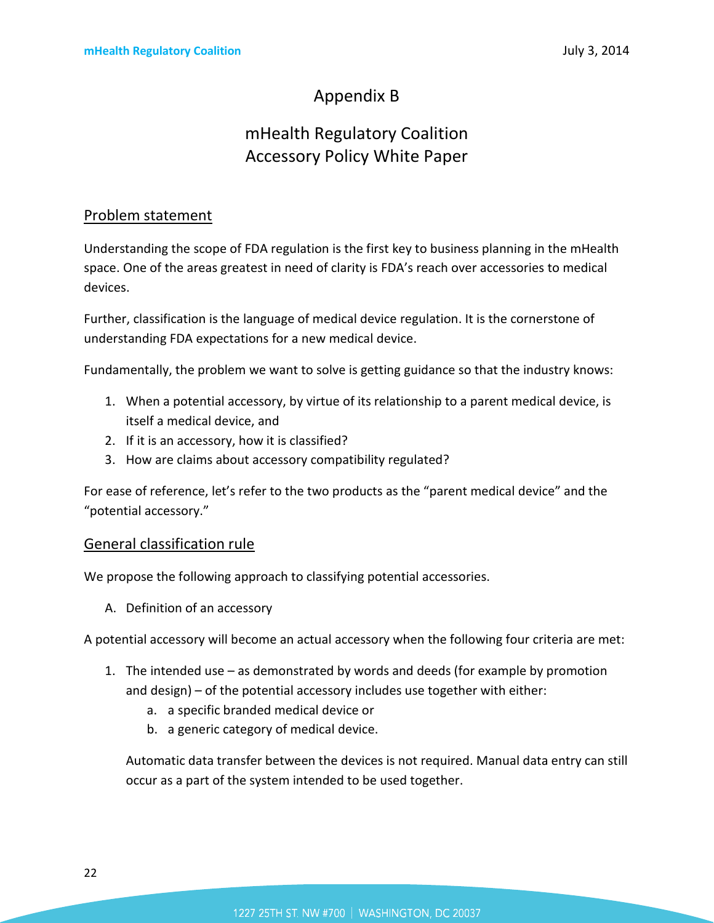# Appendix B

# mHealth Regulatory Coalition Accessory Policy White Paper

## Problem statement

Understanding the scope of FDA regulation is the first key to business planning in the mHealth space. One of the areas greatest in need of clarity is FDA's reach over accessories to medical devices.

Further, classification is the language of medical device regulation. It is the cornerstone of understanding FDA expectations for a new medical device.

Fundamentally, the problem we want to solve is getting guidance so that the industry knows:

- 1. When a potential accessory, by virtue of its relationship to a parent medical device, is itself a medical device, and
- 2. If it is an accessory, how it is classified?
- 3. How are claims about accessory compatibility regulated?

For ease of reference, let's refer to the two products as the "parent medical device" and the "potential accessory."

### General classification rule

We propose the following approach to classifying potential accessories.

A. Definition of an accessory

A potential accessory will become an actual accessory when the following four criteria are met:

- 1. The intended use as demonstrated by words and deeds (for example by promotion and design) – of the potential accessory includes use together with either:
	- a. a specific branded medical device or
	- b. a generic category of medical device.

Automatic data transfer between the devices is not required. Manual data entry can still occur as a part of the system intended to be used together.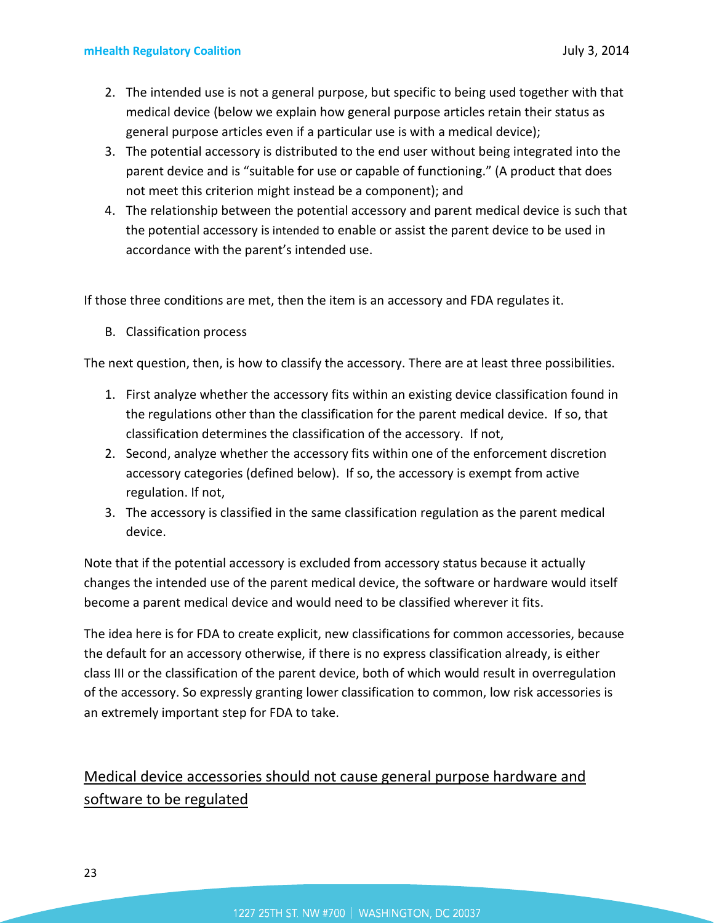- 2. The intended use is not a general purpose, but specific to being used together with that medical device (below we explain how general purpose articles retain their status as general purpose articles even if a particular use is with a medical device);
- 3. The potential accessory is distributed to the end user without being integrated into the parent device and is "suitable for use or capable of functioning." (A product that does not meet this criterion might instead be a component); and
- 4. The relationship between the potential accessory and parent medical device is such that the potential accessory is intended to enable or assist the parent device to be used in accordance with the parent's intended use.

If those three conditions are met, then the item is an accessory and FDA regulates it.

B. Classification process

The next question, then, is how to classify the accessory. There are at least three possibilities.

- 1. First analyze whether the accessory fits within an existing device classification found in the regulations other than the classification for the parent medical device. If so, that classification determines the classification of the accessory. If not,
- 2. Second, analyze whether the accessory fits within one of the enforcement discretion accessory categories (defined below). If so, the accessory is exempt from active regulation. If not,
- 3. The accessory is classified in the same classification regulation as the parent medical device.

Note that if the potential accessory is excluded from accessory status because it actually changes the intended use of the parent medical device, the software or hardware would itself become a parent medical device and would need to be classified wherever it fits.

The idea here is for FDA to create explicit, new classifications for common accessories, because the default for an accessory otherwise, if there is no express classification already, is either class III or the classification of the parent device, both of which would result in overregulation of the accessory. So expressly granting lower classification to common, low risk accessories is an extremely important step for FDA to take.

# Medical device accessories should not cause general purpose hardware and software to be regulated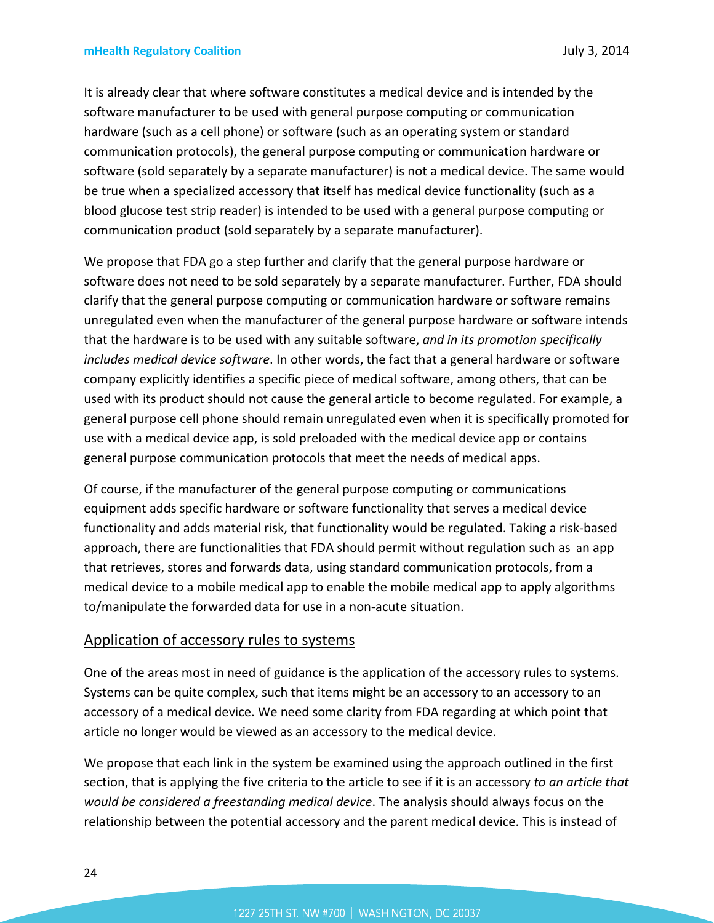It is already clear that where software constitutes a medical device and is intended by the software manufacturer to be used with general purpose computing or communication hardware (such as a cell phone) or software (such as an operating system or standard communication protocols), the general purpose computing or communication hardware or software (sold separately by a separate manufacturer) is not a medical device. The same would be true when a specialized accessory that itself has medical device functionality (such as a blood glucose test strip reader) is intended to be used with a general purpose computing or communication product (sold separately by a separate manufacturer).

We propose that FDA go a step further and clarify that the general purpose hardware or software does not need to be sold separately by a separate manufacturer. Further, FDA should clarify that the general purpose computing or communication hardware or software remains unregulated even when the manufacturer of the general purpose hardware or software intends that the hardware is to be used with any suitable software, *and in its promotion specifically includes medical device software*. In other words, the fact that a general hardware or software company explicitly identifies a specific piece of medical software, among others, that can be used with its product should not cause the general article to become regulated. For example, a general purpose cell phone should remain unregulated even when it is specifically promoted for use with a medical device app, is sold preloaded with the medical device app or contains general purpose communication protocols that meet the needs of medical apps.

Of course, if the manufacturer of the general purpose computing or communications equipment adds specific hardware or software functionality that serves a medical device functionality and adds material risk, that functionality would be regulated. Taking a risk-based approach, there are functionalities that FDA should permit without regulation such as an app that retrieves, stores and forwards data, using standard communication protocols, from a medical device to a mobile medical app to enable the mobile medical app to apply algorithms to/manipulate the forwarded data for use in a non-acute situation.

### Application of accessory rules to systems

One of the areas most in need of guidance is the application of the accessory rules to systems. Systems can be quite complex, such that items might be an accessory to an accessory to an accessory of a medical device. We need some clarity from FDA regarding at which point that article no longer would be viewed as an accessory to the medical device.

We propose that each link in the system be examined using the approach outlined in the first section, that is applying the five criteria to the article to see if it is an accessory *to an article that would be considered a freestanding medical device*. The analysis should always focus on the relationship between the potential accessory and the parent medical device. This is instead of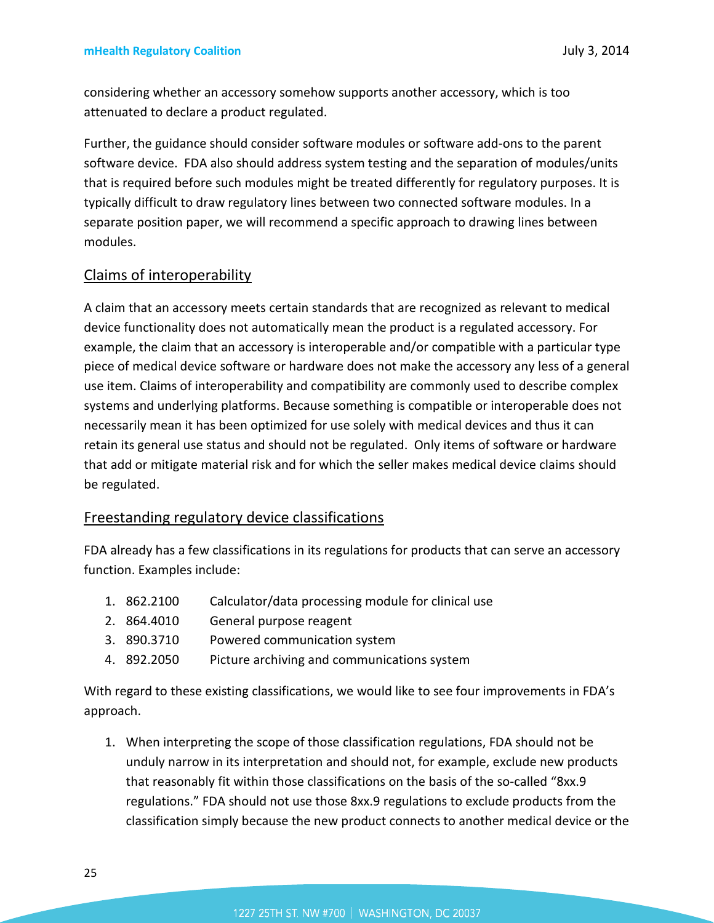considering whether an accessory somehow supports another accessory, which is too attenuated to declare a product regulated.

Further, the guidance should consider software modules or software add-ons to the parent software device. FDA also should address system testing and the separation of modules/units that is required before such modules might be treated differently for regulatory purposes. It is typically difficult to draw regulatory lines between two connected software modules. In a separate position paper, we will recommend a specific approach to drawing lines between modules.

### Claims of interoperability

A claim that an accessory meets certain standards that are recognized as relevant to medical device functionality does not automatically mean the product is a regulated accessory. For example, the claim that an accessory is interoperable and/or compatible with a particular type piece of medical device software or hardware does not make the accessory any less of a general use item. Claims of interoperability and compatibility are commonly used to describe complex systems and underlying platforms. Because something is compatible or interoperable does not necessarily mean it has been optimized for use solely with medical devices and thus it can retain its general use status and should not be regulated. Only items of software or hardware that add or mitigate material risk and for which the seller makes medical device claims should be regulated.

### Freestanding regulatory device classifications

FDA already has a few classifications in its regulations for products that can serve an accessory function. Examples include:

- 1. 862.2100 Calculator/data processing module for clinical use
- 2. 864.4010 General purpose reagent
- 3. 890.3710 Powered communication system
- 4. 892.2050 Picture archiving and communications system

With regard to these existing classifications, we would like to see four improvements in FDA's approach.

1. When interpreting the scope of those classification regulations, FDA should not be unduly narrow in its interpretation and should not, for example, exclude new products that reasonably fit within those classifications on the basis of the so-called "8xx.9 regulations." FDA should not use those 8xx.9 regulations to exclude products from the classification simply because the new product connects to another medical device or the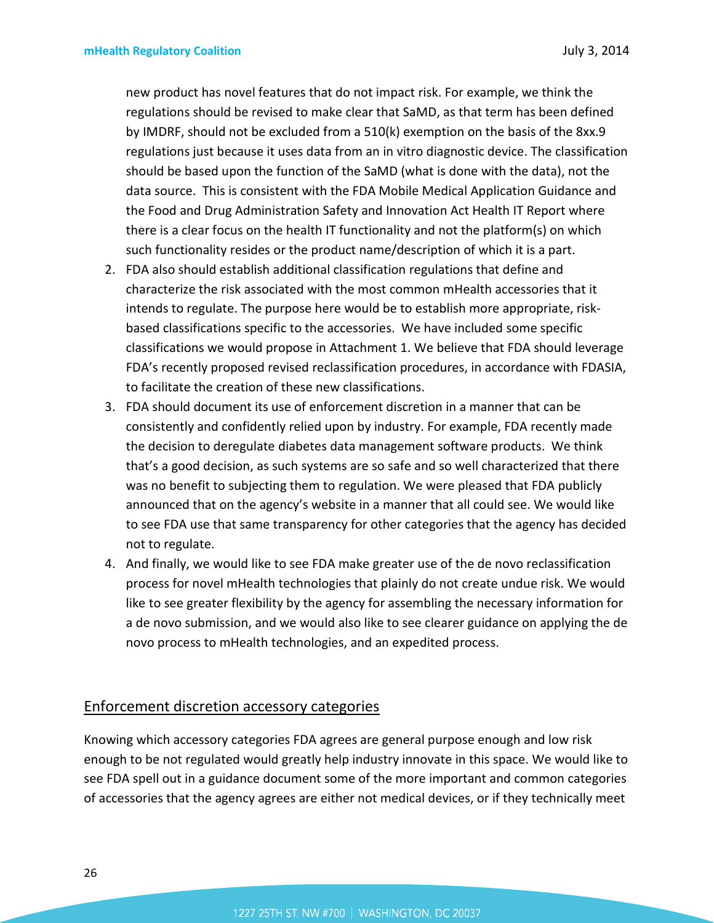new product has novel features that do not impact risk. For example, we think the regulations should be revised to make clear that SaMD, as that term has been defined by IMDRF, should not be excluded from a 510(k) exemption on the basis of the 8xx.9 regulations just because it uses data from an in vitro diagnostic device. The classification should be based upon the function of the SaMD (what is done with the data), not the data source. This is consistent with the FDA Mobile Medical Application Guidance and the Food and Drug Administration Safety and Innovation Act Health IT Report where there is a clear focus on the health IT functionality and not the platform(s) on which such functionality resides or the product name/description of which it is a part.

- 2. FDA also should establish additional classification regulations that define and characterize the risk associated with the most common mHealth accessories that it intends to regulate. The purpose here would be to establish more appropriate, riskbased classifications specific to the accessories. We have included some specific classifications we would propose in Attachment 1. We believe that FDA should leverage FDA's recently proposed revised reclassification procedures, in accordance with FDASIA, to facilitate the creation of these new classifications.
- 3. FDA should document its use of enforcement discretion in a manner that can be consistently and confidently relied upon by industry. For example, FDA recently made the decision to deregulate diabetes data management software products. We think that's a good decision, as such systems are so safe and so well characterized that there was no benefit to subjecting them to regulation. We were pleased that FDA publicly announced that on the agency's website in a manner that all could see. We would like to see FDA use that same transparency for other categories that the agency has decided not to regulate.
- 4. And finally, we would like to see FDA make greater use of the de novo reclassification process for novel mHealth technologies that plainly do not create undue risk. We would like to see greater flexibility by the agency for assembling the necessary information for a de novo submission, and we would also like to see clearer guidance on applying the de novo process to mHealth technologies, and an expedited process.

### Enforcement discretion accessory categories

Knowing which accessory categories FDA agrees are general purpose enough and low risk enough to be not regulated would greatly help industry innovate in this space. We would like to see FDA spell out in a guidance document some of the more important and common categories of accessories that the agency agrees are either not medical devices, or if they technically meet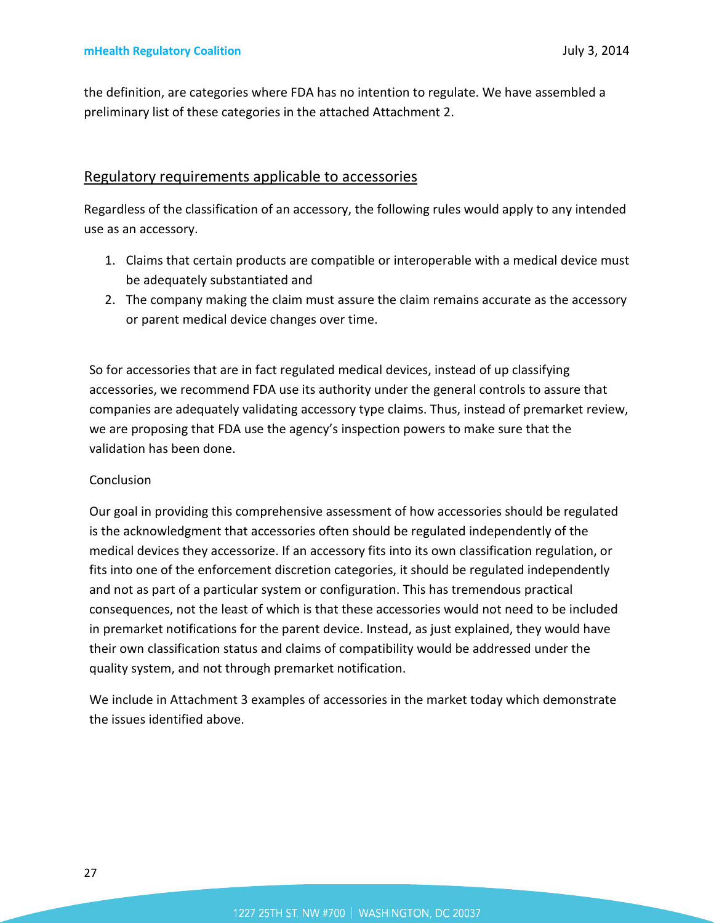the definition, are categories where FDA has no intention to regulate. We have assembled a preliminary list of these categories in the attached Attachment 2.

### Regulatory requirements applicable to accessories

Regardless of the classification of an accessory, the following rules would apply to any intended use as an accessory.

- 1. Claims that certain products are compatible or interoperable with a medical device must be adequately substantiated and
- 2. The company making the claim must assure the claim remains accurate as the accessory or parent medical device changes over time.

So for accessories that are in fact regulated medical devices, instead of up classifying accessories, we recommend FDA use its authority under the general controls to assure that companies are adequately validating accessory type claims. Thus, instead of premarket review, we are proposing that FDA use the agency's inspection powers to make sure that the validation has been done.

#### **Conclusion**

Our goal in providing this comprehensive assessment of how accessories should be regulated is the acknowledgment that accessories often should be regulated independently of the medical devices they accessorize. If an accessory fits into its own classification regulation, or fits into one of the enforcement discretion categories, it should be regulated independently and not as part of a particular system or configuration. This has tremendous practical consequences, not the least of which is that these accessories would not need to be included in premarket notifications for the parent device. Instead, as just explained, they would have their own classification status and claims of compatibility would be addressed under the quality system, and not through premarket notification.

We include in Attachment 3 examples of accessories in the market today which demonstrate the issues identified above.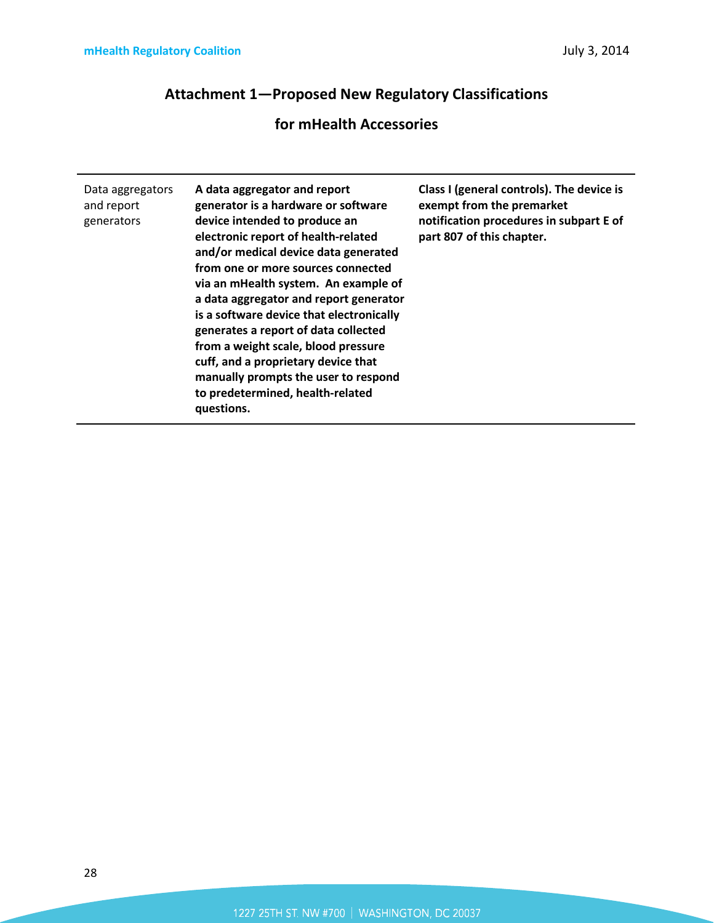# **Attachment 1—Proposed New Regulatory Classifications**

# **for mHealth Accessories**

| Data aggregators<br>and report<br>generators | A data aggregator and report<br>generator is a hardware or software<br>device intended to produce an<br>electronic report of health-related<br>and/or medical device data generated<br>from one or more sources connected<br>via an mHealth system. An example of<br>a data aggregator and report generator<br>is a software device that electronically<br>generates a report of data collected<br>from a weight scale, blood pressure<br>cuff, and a proprietary device that<br>manually prompts the user to respond<br>to predetermined, health-related | Class I (general controls). The device is<br>exempt from the premarket<br>notification procedures in subpart E of<br>part 807 of this chapter. |
|----------------------------------------------|-----------------------------------------------------------------------------------------------------------------------------------------------------------------------------------------------------------------------------------------------------------------------------------------------------------------------------------------------------------------------------------------------------------------------------------------------------------------------------------------------------------------------------------------------------------|------------------------------------------------------------------------------------------------------------------------------------------------|
|                                              | questions.                                                                                                                                                                                                                                                                                                                                                                                                                                                                                                                                                |                                                                                                                                                |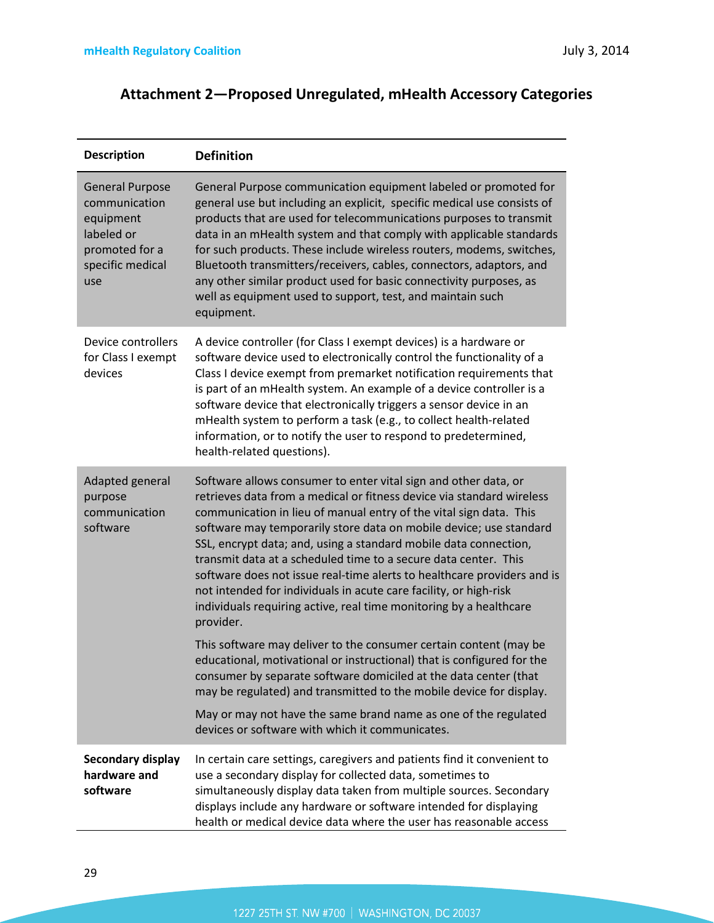# **Attachment 2—Proposed Unregulated, mHealth Accessory Categories**

| <b>Description</b>                                                                                              | <b>Definition</b>                                                                                                                                                                                                                                                                                                                                                                                                                                                                                                                                                                                                                                              |
|-----------------------------------------------------------------------------------------------------------------|----------------------------------------------------------------------------------------------------------------------------------------------------------------------------------------------------------------------------------------------------------------------------------------------------------------------------------------------------------------------------------------------------------------------------------------------------------------------------------------------------------------------------------------------------------------------------------------------------------------------------------------------------------------|
| <b>General Purpose</b><br>communication<br>equipment<br>labeled or<br>promoted for a<br>specific medical<br>use | General Purpose communication equipment labeled or promoted for<br>general use but including an explicit, specific medical use consists of<br>products that are used for telecommunications purposes to transmit<br>data in an mHealth system and that comply with applicable standards<br>for such products. These include wireless routers, modems, switches,<br>Bluetooth transmitters/receivers, cables, connectors, adaptors, and<br>any other similar product used for basic connectivity purposes, as<br>well as equipment used to support, test, and maintain such<br>equipment.                                                                       |
| Device controllers<br>for Class I exempt<br>devices                                                             | A device controller (for Class I exempt devices) is a hardware or<br>software device used to electronically control the functionality of a<br>Class I device exempt from premarket notification requirements that<br>is part of an mHealth system. An example of a device controller is a<br>software device that electronically triggers a sensor device in an<br>mHealth system to perform a task (e.g., to collect health-related<br>information, or to notify the user to respond to predetermined,<br>health-related questions).                                                                                                                          |
| Adapted general<br>purpose<br>communication<br>software                                                         | Software allows consumer to enter vital sign and other data, or<br>retrieves data from a medical or fitness device via standard wireless<br>communication in lieu of manual entry of the vital sign data. This<br>software may temporarily store data on mobile device; use standard<br>SSL, encrypt data; and, using a standard mobile data connection,<br>transmit data at a scheduled time to a secure data center. This<br>software does not issue real-time alerts to healthcare providers and is<br>not intended for individuals in acute care facility, or high-risk<br>individuals requiring active, real time monitoring by a healthcare<br>provider. |
|                                                                                                                 | This software may deliver to the consumer certain content (may be<br>educational, motivational or instructional) that is configured for the<br>consumer by separate software domiciled at the data center (that<br>may be regulated) and transmitted to the mobile device for display.                                                                                                                                                                                                                                                                                                                                                                         |
|                                                                                                                 | May or may not have the same brand name as one of the regulated<br>devices or software with which it communicates.                                                                                                                                                                                                                                                                                                                                                                                                                                                                                                                                             |
| Secondary display<br>hardware and<br>software                                                                   | In certain care settings, caregivers and patients find it convenient to<br>use a secondary display for collected data, sometimes to<br>simultaneously display data taken from multiple sources. Secondary<br>displays include any hardware or software intended for displaying<br>health or medical device data where the user has reasonable access                                                                                                                                                                                                                                                                                                           |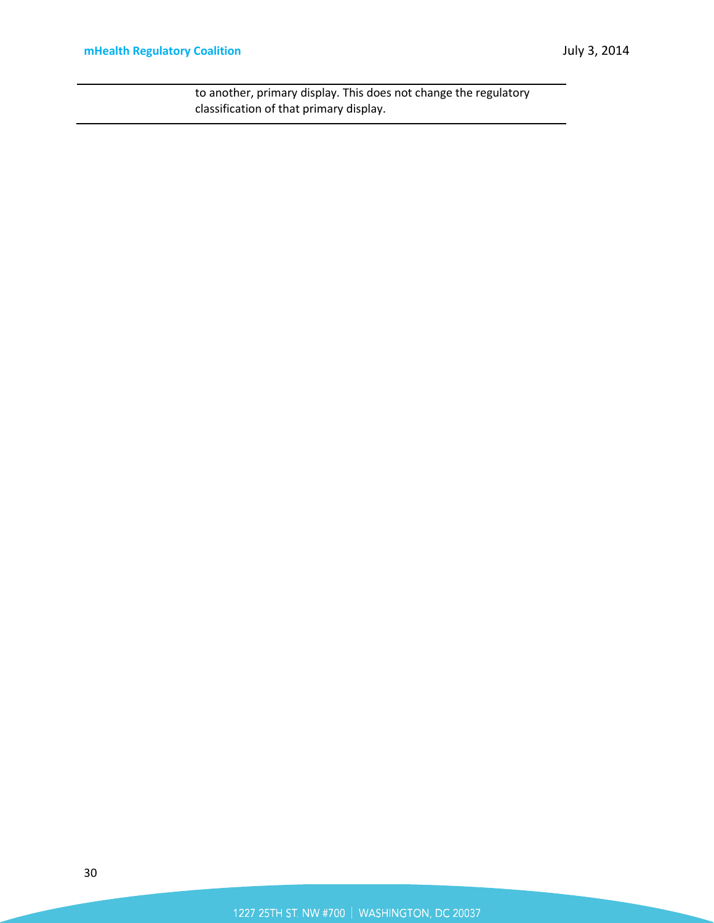to another, primary display. This does not change the regulatory classification of that primary display.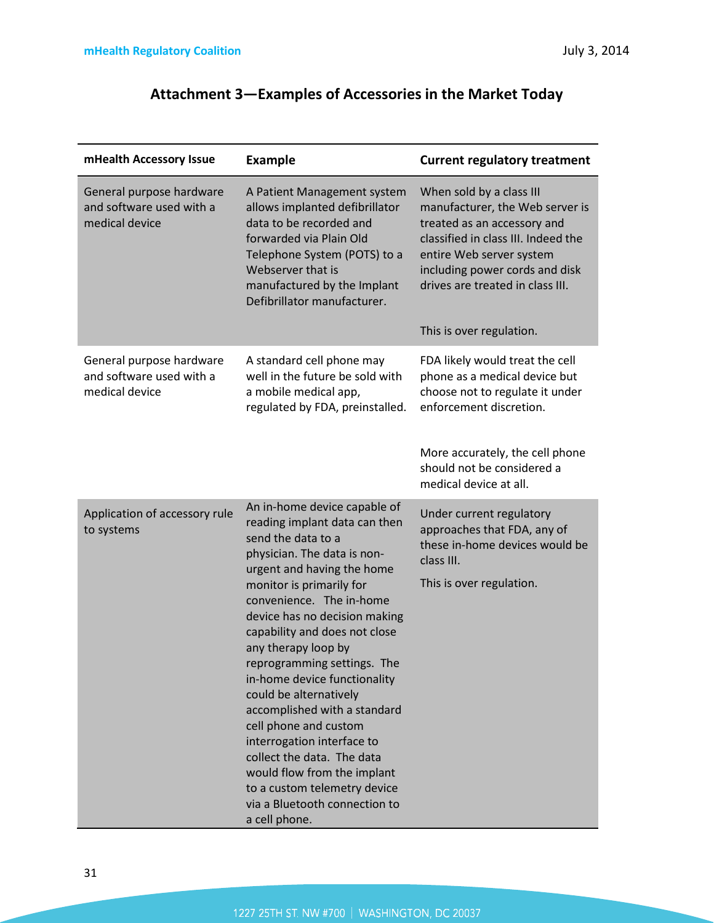# **Attachment 3—Examples of Accessories in the Market Today**

| mHealth Accessory Issue                                                | <b>Example</b>                                                                                                                                                                                                                                                                                                                                                                                                                                                                                                                                                                                                                   | <b>Current regulatory treatment</b>                                                                                                                                                                                                                             |
|------------------------------------------------------------------------|----------------------------------------------------------------------------------------------------------------------------------------------------------------------------------------------------------------------------------------------------------------------------------------------------------------------------------------------------------------------------------------------------------------------------------------------------------------------------------------------------------------------------------------------------------------------------------------------------------------------------------|-----------------------------------------------------------------------------------------------------------------------------------------------------------------------------------------------------------------------------------------------------------------|
| General purpose hardware<br>and software used with a<br>medical device | A Patient Management system<br>allows implanted defibrillator<br>data to be recorded and<br>forwarded via Plain Old<br>Telephone System (POTS) to a<br>Webserver that is<br>manufactured by the Implant<br>Defibrillator manufacturer.                                                                                                                                                                                                                                                                                                                                                                                           | When sold by a class III<br>manufacturer, the Web server is<br>treated as an accessory and<br>classified in class III. Indeed the<br>entire Web server system<br>including power cords and disk<br>drives are treated in class III.<br>This is over regulation. |
| General purpose hardware<br>and software used with a<br>medical device | A standard cell phone may<br>well in the future be sold with<br>a mobile medical app,<br>regulated by FDA, preinstalled.                                                                                                                                                                                                                                                                                                                                                                                                                                                                                                         | FDA likely would treat the cell<br>phone as a medical device but<br>choose not to regulate it under<br>enforcement discretion.<br>More accurately, the cell phone<br>should not be considered a<br>medical device at all.                                       |
| Application of accessory rule<br>to systems                            | An in-home device capable of<br>reading implant data can then<br>send the data to a<br>physician. The data is non-<br>urgent and having the home<br>monitor is primarily for<br>convenience. The in-home<br>device has no decision making<br>capability and does not close<br>any therapy loop by<br>reprogramming settings. The<br>in-home device functionality<br>could be alternatively<br>accomplished with a standard<br>cell phone and custom<br>interrogation interface to<br>collect the data. The data<br>would flow from the implant<br>to a custom telemetry device<br>via a Bluetooth connection to<br>a cell phone. | Under current regulatory<br>approaches that FDA, any of<br>these in-home devices would be<br>class III.<br>This is over regulation.                                                                                                                             |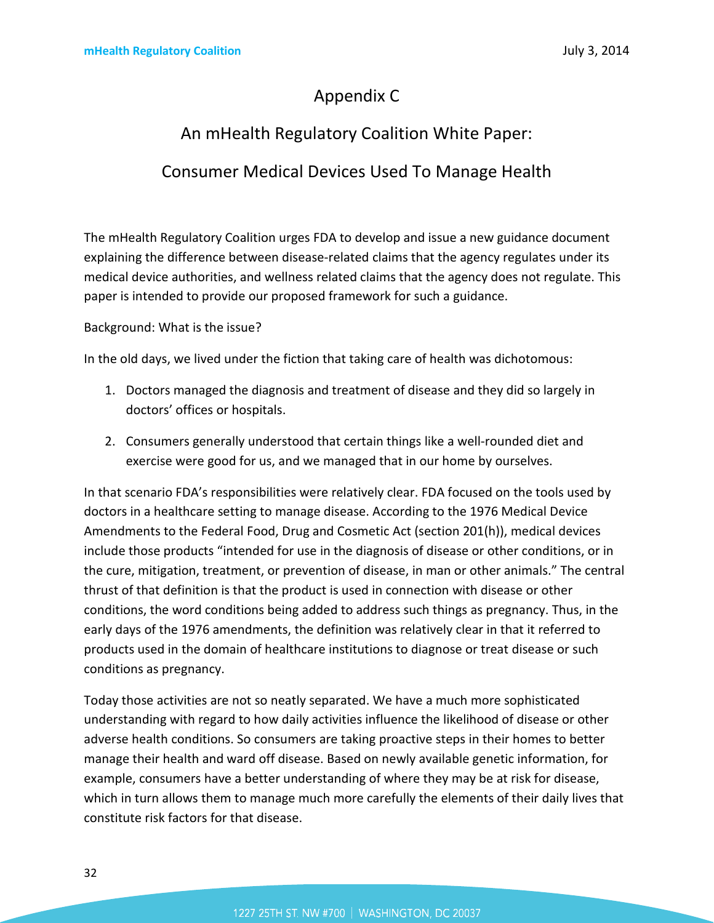# Appendix C

# An mHealth Regulatory Coalition White Paper: Consumer Medical Devices Used To Manage Health

The mHealth Regulatory Coalition urges FDA to develop and issue a new guidance document explaining the difference between disease-related claims that the agency regulates under its medical device authorities, and wellness related claims that the agency does not regulate. This paper is intended to provide our proposed framework for such a guidance.

Background: What is the issue?

In the old days, we lived under the fiction that taking care of health was dichotomous:

- 1. Doctors managed the diagnosis and treatment of disease and they did so largely in doctors' offices or hospitals.
- 2. Consumers generally understood that certain things like a well-rounded diet and exercise were good for us, and we managed that in our home by ourselves.

In that scenario FDA's responsibilities were relatively clear. FDA focused on the tools used by doctors in a healthcare setting to manage disease. According to the 1976 Medical Device Amendments to the Federal Food, Drug and Cosmetic Act (section 201(h)), medical devices include those products "intended for use in the diagnosis of disease or other conditions, or in the cure, mitigation, treatment, or prevention of disease, in man or other animals." The central thrust of that definition is that the product is used in connection with disease or other conditions, the word conditions being added to address such things as pregnancy. Thus, in the early days of the 1976 amendments, the definition was relatively clear in that it referred to products used in the domain of healthcare institutions to diagnose or treat disease or such conditions as pregnancy.

Today those activities are not so neatly separated. We have a much more sophisticated understanding with regard to how daily activities influence the likelihood of disease or other adverse health conditions. So consumers are taking proactive steps in their homes to better manage their health and ward off disease. Based on newly available genetic information, for example, consumers have a better understanding of where they may be at risk for disease, which in turn allows them to manage much more carefully the elements of their daily lives that constitute risk factors for that disease.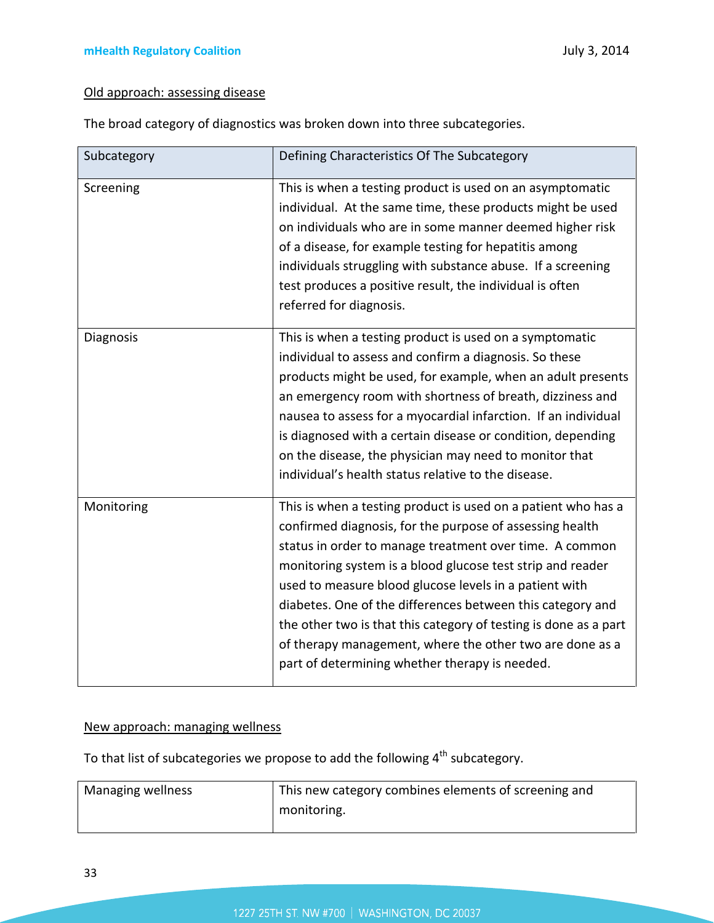# Old approach: assessing disease

The broad category of diagnostics was broken down into three subcategories.

| Subcategory | Defining Characteristics Of The Subcategory                                                                                                                                                                                                                                                                                                                                                                                                                                                                                                                  |
|-------------|--------------------------------------------------------------------------------------------------------------------------------------------------------------------------------------------------------------------------------------------------------------------------------------------------------------------------------------------------------------------------------------------------------------------------------------------------------------------------------------------------------------------------------------------------------------|
| Screening   | This is when a testing product is used on an asymptomatic<br>individual. At the same time, these products might be used<br>on individuals who are in some manner deemed higher risk<br>of a disease, for example testing for hepatitis among<br>individuals struggling with substance abuse. If a screening<br>test produces a positive result, the individual is often<br>referred for diagnosis.                                                                                                                                                           |
| Diagnosis   | This is when a testing product is used on a symptomatic<br>individual to assess and confirm a diagnosis. So these<br>products might be used, for example, when an adult presents<br>an emergency room with shortness of breath, dizziness and<br>nausea to assess for a myocardial infarction. If an individual<br>is diagnosed with a certain disease or condition, depending<br>on the disease, the physician may need to monitor that<br>individual's health status relative to the disease.                                                              |
| Monitoring  | This is when a testing product is used on a patient who has a<br>confirmed diagnosis, for the purpose of assessing health<br>status in order to manage treatment over time. A common<br>monitoring system is a blood glucose test strip and reader<br>used to measure blood glucose levels in a patient with<br>diabetes. One of the differences between this category and<br>the other two is that this category of testing is done as a part<br>of therapy management, where the other two are done as a<br>part of determining whether therapy is needed. |

### New approach: managing wellness

To that list of subcategories we propose to add the following  $4^{\text{th}}$  subcategory.

| Managing wellness | This new category combines elements of screening and |
|-------------------|------------------------------------------------------|
|                   | monitoring.                                          |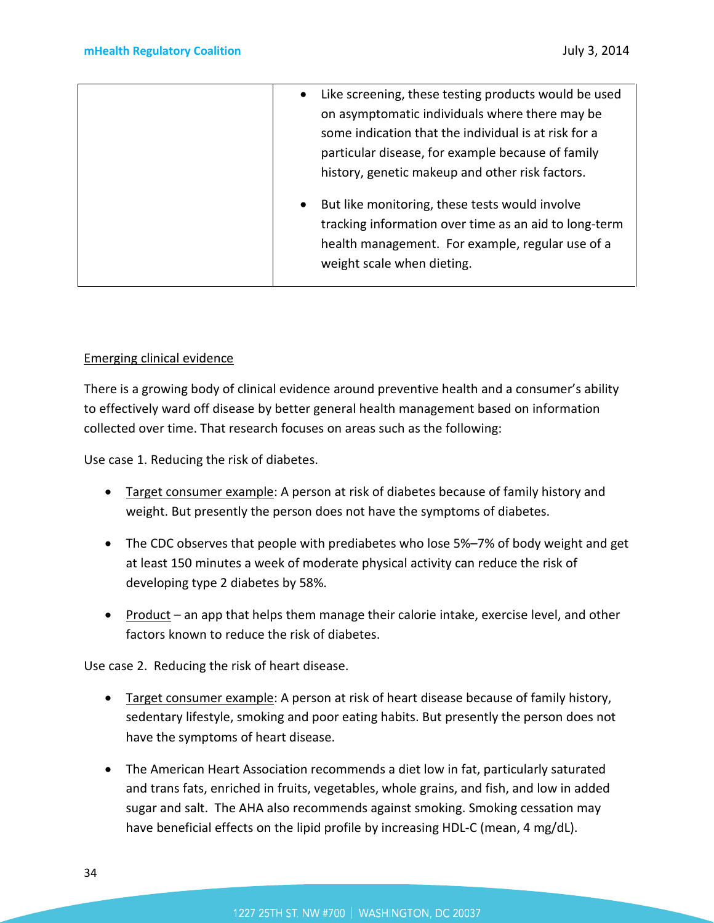| Like screening, these testing products would be used<br>$\bullet$<br>on asymptomatic individuals where there may be                                                                                    |
|--------------------------------------------------------------------------------------------------------------------------------------------------------------------------------------------------------|
| some indication that the individual is at risk for a<br>particular disease, for example because of family<br>history, genetic makeup and other risk factors.                                           |
| But like monitoring, these tests would involve<br>$\bullet$<br>tracking information over time as an aid to long-term<br>health management. For example, regular use of a<br>weight scale when dieting. |

### Emerging clinical evidence

There is a growing body of clinical evidence around preventive health and a consumer's ability to effectively ward off disease by better general health management based on information collected over time. That research focuses on areas such as the following:

Use case 1. Reducing the risk of diabetes.

- Target consumer example: A person at risk of diabetes because of family history and weight. But presently the person does not have the symptoms of diabetes.
- The CDC observes that people with prediabetes who lose 5%–7% of body weight and get at least 150 minutes a week of moderate physical activity can reduce the risk of developing type 2 diabetes by 58%.
- Product an app that helps them manage their calorie intake, exercise level, and other factors known to reduce the risk of diabetes.

Use case 2. Reducing the risk of heart disease.

- Target consumer example: A person at risk of heart disease because of family history, sedentary lifestyle, smoking and poor eating habits. But presently the person does not have the symptoms of heart disease.
- The American Heart Association recommends a diet low in fat, particularly saturated and trans fats, enriched in fruits, vegetables, whole grains, and fish, and low in added sugar and salt. The AHA also recommends against smoking. Smoking cessation may have beneficial effects on the lipid profile by increasing HDL-C (mean, 4 mg/dL).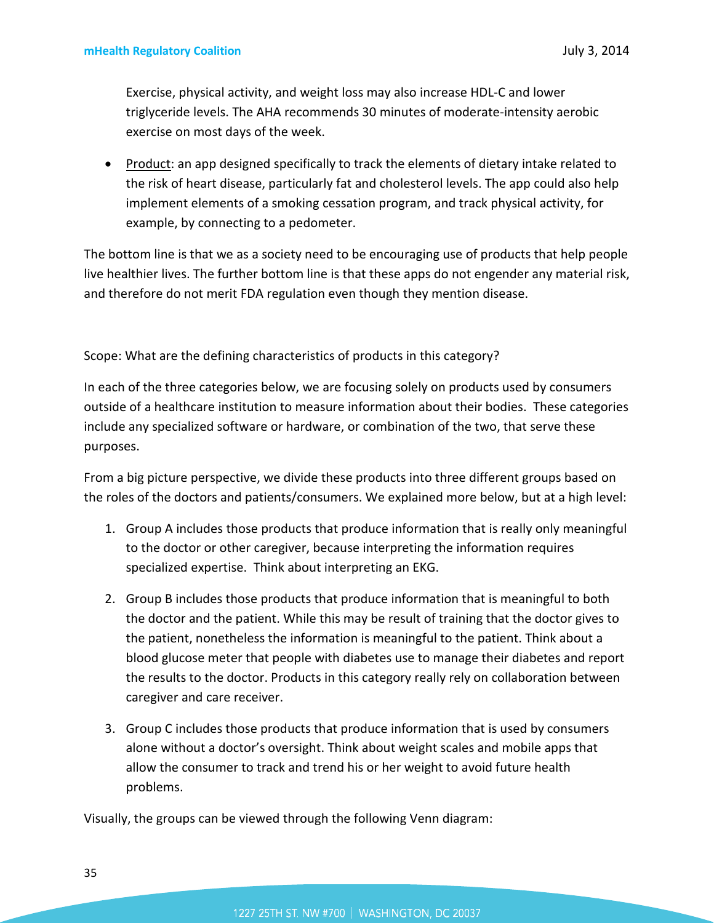Exercise, physical activity, and weight loss may also increase HDL-C and lower triglyceride levels. The AHA recommends 30 minutes of moderate-intensity aerobic exercise on most days of the week.

• Product: an app designed specifically to track the elements of dietary intake related to the risk of heart disease, particularly fat and cholesterol levels. The app could also help implement elements of a smoking cessation program, and track physical activity, for example, by connecting to a pedometer.

The bottom line is that we as a society need to be encouraging use of products that help people live healthier lives. The further bottom line is that these apps do not engender any material risk, and therefore do not merit FDA regulation even though they mention disease.

Scope: What are the defining characteristics of products in this category?

In each of the three categories below, we are focusing solely on products used by consumers outside of a healthcare institution to measure information about their bodies. These categories include any specialized software or hardware, or combination of the two, that serve these purposes.

From a big picture perspective, we divide these products into three different groups based on the roles of the doctors and patients/consumers. We explained more below, but at a high level:

- 1. Group A includes those products that produce information that is really only meaningful to the doctor or other caregiver, because interpreting the information requires specialized expertise. Think about interpreting an EKG.
- 2. Group B includes those products that produce information that is meaningful to both the doctor and the patient. While this may be result of training that the doctor gives to the patient, nonetheless the information is meaningful to the patient. Think about a blood glucose meter that people with diabetes use to manage their diabetes and report the results to the doctor. Products in this category really rely on collaboration between caregiver and care receiver.
- 3. Group C includes those products that produce information that is used by consumers alone without a doctor's oversight. Think about weight scales and mobile apps that allow the consumer to track and trend his or her weight to avoid future health problems.

Visually, the groups can be viewed through the following Venn diagram: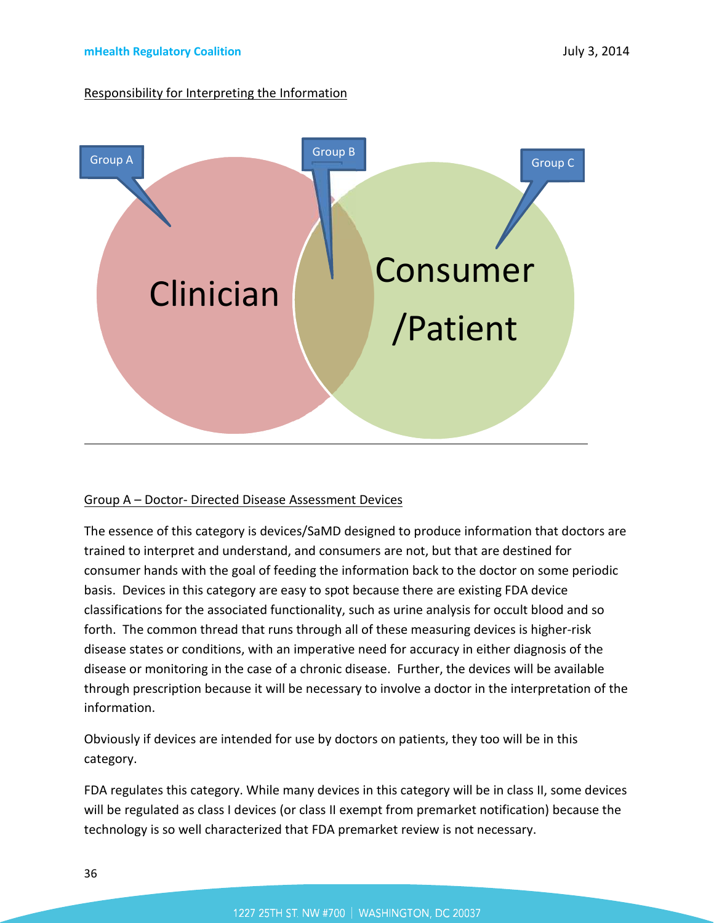### Responsibility for Interpreting the Information



### Group A – Doctor- Directed Disease Assessment Devices

The essence of this category is devices/SaMD designed to produce information that doctors are trained to interpret and understand, and consumers are not, but that are destined for consumer hands with the goal of feeding the information back to the doctor on some periodic basis. Devices in this category are easy to spot because there are existing FDA device classifications for the associated functionality, such as urine analysis for occult blood and so forth. The common thread that runs through all of these measuring devices is higher-risk disease states or conditions, with an imperative need for accuracy in either diagnosis of the disease or monitoring in the case of a chronic disease. Further, the devices will be available through prescription because it will be necessary to involve a doctor in the interpretation of the information.

Obviously if devices are intended for use by doctors on patients, they too will be in this category.

FDA regulates this category. While many devices in this category will be in class II, some devices will be regulated as class I devices (or class II exempt from premarket notification) because the technology is so well characterized that FDA premarket review is not necessary.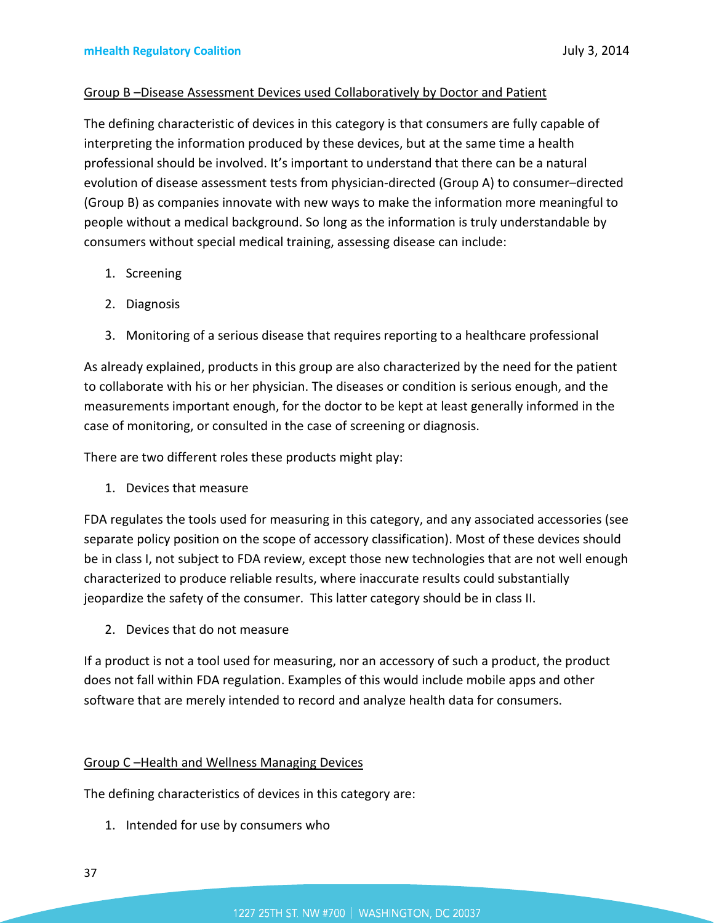### Group B –Disease Assessment Devices used Collaboratively by Doctor and Patient

The defining characteristic of devices in this category is that consumers are fully capable of interpreting the information produced by these devices, but at the same time a health professional should be involved. It's important to understand that there can be a natural evolution of disease assessment tests from physician-directed (Group A) to consumer–directed (Group B) as companies innovate with new ways to make the information more meaningful to people without a medical background. So long as the information is truly understandable by consumers without special medical training, assessing disease can include:

- 1. Screening
- 2. Diagnosis
- 3. Monitoring of a serious disease that requires reporting to a healthcare professional

As already explained, products in this group are also characterized by the need for the patient to collaborate with his or her physician. The diseases or condition is serious enough, and the measurements important enough, for the doctor to be kept at least generally informed in the case of monitoring, or consulted in the case of screening or diagnosis.

There are two different roles these products might play:

1. Devices that measure

FDA regulates the tools used for measuring in this category, and any associated accessories (see separate policy position on the scope of accessory classification). Most of these devices should be in class I, not subject to FDA review, except those new technologies that are not well enough characterized to produce reliable results, where inaccurate results could substantially jeopardize the safety of the consumer. This latter category should be in class II.

2. Devices that do not measure

If a product is not a tool used for measuring, nor an accessory of such a product, the product does not fall within FDA regulation. Examples of this would include mobile apps and other software that are merely intended to record and analyze health data for consumers.

### Group C –Health and Wellness Managing Devices

The defining characteristics of devices in this category are:

1. Intended for use by consumers who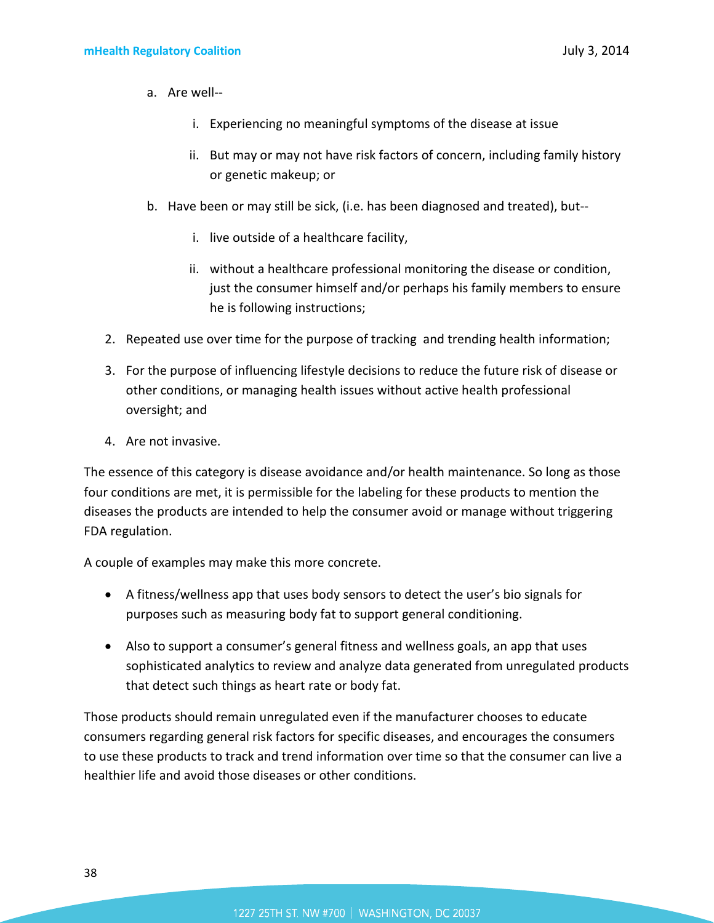- a. Are well-
	- i. Experiencing no meaningful symptoms of the disease at issue
	- ii. But may or may not have risk factors of concern, including family history or genetic makeup; or
- b. Have been or may still be sick, (i.e. has been diagnosed and treated), but-
	- i. live outside of a healthcare facility,
	- ii. without a healthcare professional monitoring the disease or condition, just the consumer himself and/or perhaps his family members to ensure he is following instructions;
- 2. Repeated use over time for the purpose of tracking and trending health information;
- 3. For the purpose of influencing lifestyle decisions to reduce the future risk of disease or other conditions, or managing health issues without active health professional oversight; and
- 4. Are not invasive.

The essence of this category is disease avoidance and/or health maintenance. So long as those four conditions are met, it is permissible for the labeling for these products to mention the diseases the products are intended to help the consumer avoid or manage without triggering FDA regulation.

A couple of examples may make this more concrete.

- A fitness/wellness app that uses body sensors to detect the user's bio signals for purposes such as measuring body fat to support general conditioning.
- Also to support a consumer's general fitness and wellness goals, an app that uses sophisticated analytics to review and analyze data generated from unregulated products that detect such things as heart rate or body fat.

Those products should remain unregulated even if the manufacturer chooses to educate consumers regarding general risk factors for specific diseases, and encourages the consumers to use these products to track and trend information over time so that the consumer can live a healthier life and avoid those diseases or other conditions.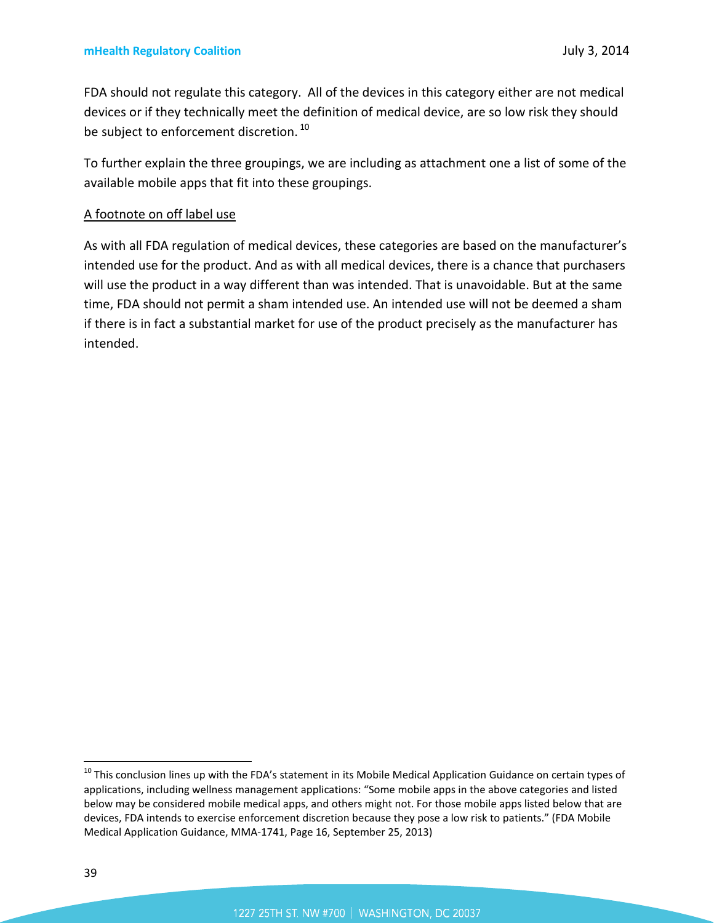FDA should not regulate this category. All of the devices in this category either are not medical devices or if they technically meet the definition of medical device, are so low risk they should be subject to enforcement discretion.<sup>[10](#page-38-0)</sup>

To further explain the three groupings, we are including as attachment one a list of some of the available mobile apps that fit into these groupings.

### A footnote on off label use

As with all FDA regulation of medical devices, these categories are based on the manufacturer's intended use for the product. And as with all medical devices, there is a chance that purchasers will use the product in a way different than was intended. That is unavoidable. But at the same time, FDA should not permit a sham intended use. An intended use will not be deemed a sham if there is in fact a substantial market for use of the product precisely as the manufacturer has intended.

<span id="page-38-0"></span><sup>&</sup>lt;sup>10</sup> This conclusion lines up with the FDA's statement in its Mobile Medical Application Guidance on certain types of applications, including wellness management applications: "Some mobile apps in the above categories and listed below may be considered mobile medical apps, and others might not. For those mobile apps listed below that are devices, FDA intends to exercise enforcement discretion because they pose a low risk to patients." (FDA Mobile Medical Application Guidance, MMA-1741, Page 16, September 25, 2013)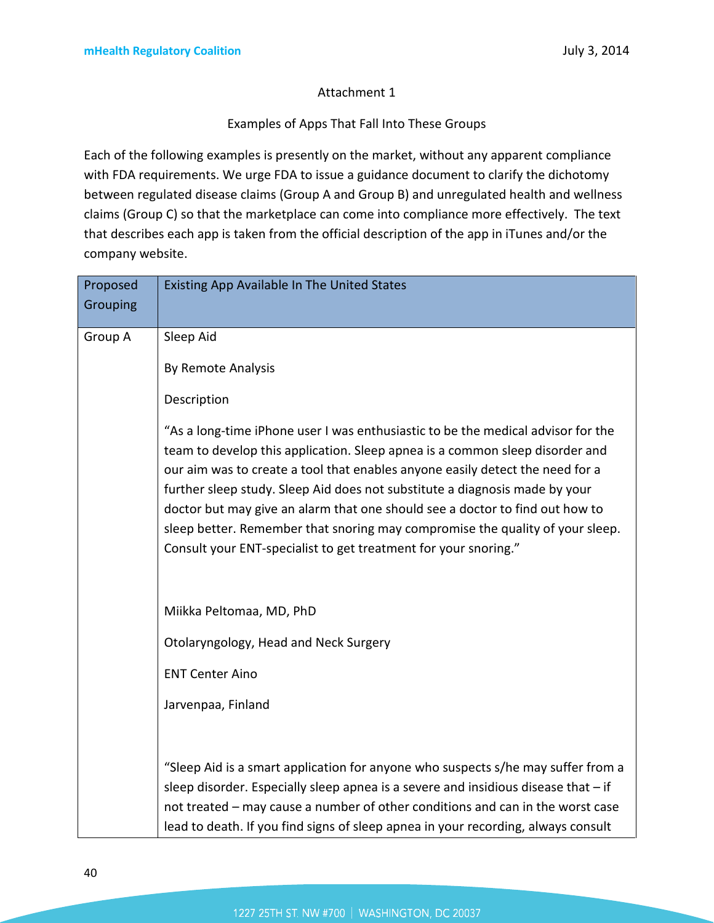### Attachment 1

### Examples of Apps That Fall Into These Groups

Each of the following examples is presently on the market, without any apparent compliance with FDA requirements. We urge FDA to issue a guidance document to clarify the dichotomy between regulated disease claims (Group A and Group B) and unregulated health and wellness claims (Group C) so that the marketplace can come into compliance more effectively. The text that describes each app is taken from the official description of the app in iTunes and/or the company website.

| Proposed | Existing App Available In The United States                                                                                                                                                                                                                                                                                                                                                                                                                                                                                                                          |
|----------|----------------------------------------------------------------------------------------------------------------------------------------------------------------------------------------------------------------------------------------------------------------------------------------------------------------------------------------------------------------------------------------------------------------------------------------------------------------------------------------------------------------------------------------------------------------------|
| Grouping |                                                                                                                                                                                                                                                                                                                                                                                                                                                                                                                                                                      |
|          |                                                                                                                                                                                                                                                                                                                                                                                                                                                                                                                                                                      |
| Group A  | Sleep Aid                                                                                                                                                                                                                                                                                                                                                                                                                                                                                                                                                            |
|          | By Remote Analysis                                                                                                                                                                                                                                                                                                                                                                                                                                                                                                                                                   |
|          | Description                                                                                                                                                                                                                                                                                                                                                                                                                                                                                                                                                          |
|          | "As a long-time iPhone user I was enthusiastic to be the medical advisor for the<br>team to develop this application. Sleep apnea is a common sleep disorder and<br>our aim was to create a tool that enables anyone easily detect the need for a<br>further sleep study. Sleep Aid does not substitute a diagnosis made by your<br>doctor but may give an alarm that one should see a doctor to find out how to<br>sleep better. Remember that snoring may compromise the quality of your sleep.<br>Consult your ENT-specialist to get treatment for your snoring." |
|          | Miikka Peltomaa, MD, PhD                                                                                                                                                                                                                                                                                                                                                                                                                                                                                                                                             |
|          | Otolaryngology, Head and Neck Surgery                                                                                                                                                                                                                                                                                                                                                                                                                                                                                                                                |
|          | <b>ENT Center Aino</b>                                                                                                                                                                                                                                                                                                                                                                                                                                                                                                                                               |
|          | Jarvenpaa, Finland                                                                                                                                                                                                                                                                                                                                                                                                                                                                                                                                                   |
|          | "Sleep Aid is a smart application for anyone who suspects s/he may suffer from a<br>sleep disorder. Especially sleep apnea is a severe and insidious disease that - if<br>not treated - may cause a number of other conditions and can in the worst case<br>lead to death. If you find signs of sleep apnea in your recording, always consult                                                                                                                                                                                                                        |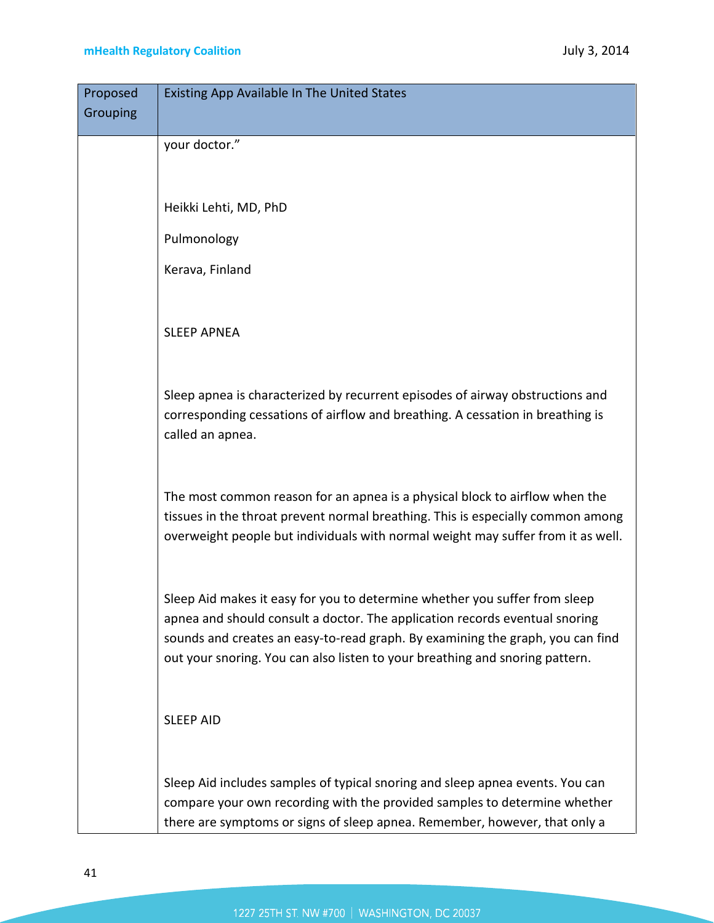| Proposed | <b>Existing App Available In The United States</b>                               |
|----------|----------------------------------------------------------------------------------|
| Grouping |                                                                                  |
|          | your doctor."                                                                    |
|          |                                                                                  |
|          |                                                                                  |
|          | Heikki Lehti, MD, PhD                                                            |
|          | Pulmonology                                                                      |
|          | Kerava, Finland                                                                  |
|          |                                                                                  |
|          |                                                                                  |
|          | <b>SLEEP APNEA</b>                                                               |
|          |                                                                                  |
|          | Sleep apnea is characterized by recurrent episodes of airway obstructions and    |
|          | corresponding cessations of airflow and breathing. A cessation in breathing is   |
|          | called an apnea.                                                                 |
|          |                                                                                  |
|          |                                                                                  |
|          | The most common reason for an apnea is a physical block to airflow when the      |
|          | tissues in the throat prevent normal breathing. This is especially common among  |
|          | overweight people but individuals with normal weight may suffer from it as well. |
|          |                                                                                  |
|          | Sleep Aid makes it easy for you to determine whether you suffer from sleep       |
|          | apnea and should consult a doctor. The application records eventual snoring      |
|          | sounds and creates an easy-to-read graph. By examining the graph, you can find   |
|          | out your snoring. You can also listen to your breathing and snoring pattern.     |
|          |                                                                                  |
|          |                                                                                  |
|          | <b>SLEEP AID</b>                                                                 |
|          |                                                                                  |
|          | Sleep Aid includes samples of typical snoring and sleep apnea events. You can    |
|          | compare your own recording with the provided samples to determine whether        |
|          | there are symptoms or signs of sleep apnea. Remember, however, that only a       |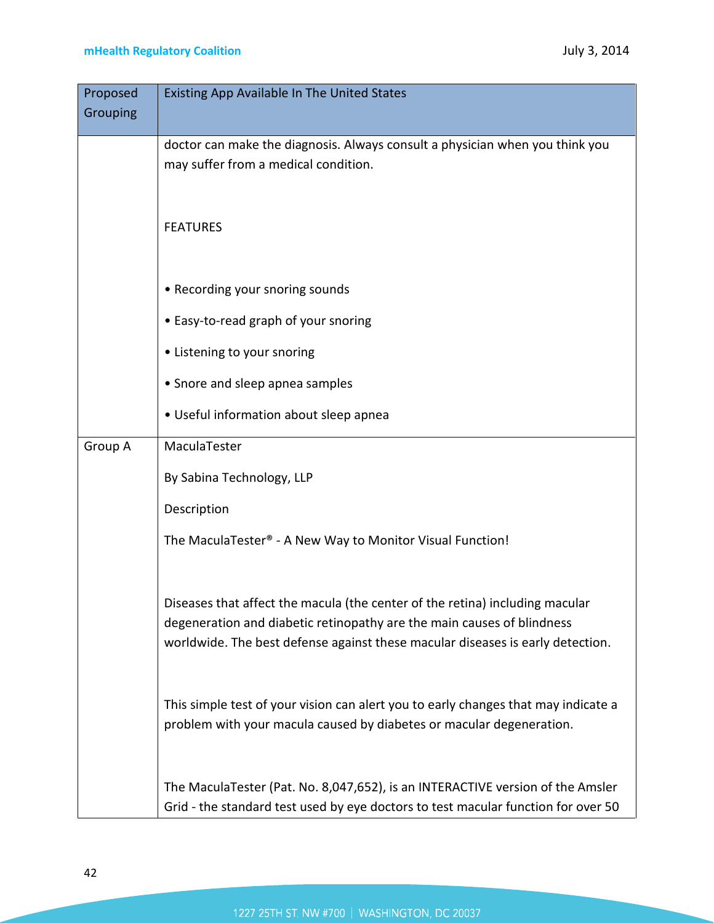| Proposed | Existing App Available In The United States                                                                                                                                                                                              |
|----------|------------------------------------------------------------------------------------------------------------------------------------------------------------------------------------------------------------------------------------------|
| Grouping |                                                                                                                                                                                                                                          |
|          | doctor can make the diagnosis. Always consult a physician when you think you<br>may suffer from a medical condition.                                                                                                                     |
|          | <b>FEATURES</b>                                                                                                                                                                                                                          |
|          | • Recording your snoring sounds                                                                                                                                                                                                          |
|          | • Easy-to-read graph of your snoring                                                                                                                                                                                                     |
|          | • Listening to your snoring                                                                                                                                                                                                              |
|          | • Snore and sleep apnea samples                                                                                                                                                                                                          |
|          | • Useful information about sleep apnea                                                                                                                                                                                                   |
| Group A  | MaculaTester                                                                                                                                                                                                                             |
|          | By Sabina Technology, LLP                                                                                                                                                                                                                |
|          | Description                                                                                                                                                                                                                              |
|          | The MaculaTester® - A New Way to Monitor Visual Function!                                                                                                                                                                                |
|          | Diseases that affect the macula (the center of the retina) including macular<br>degeneration and diabetic retinopathy are the main causes of blindness<br>worldwide. The best defense against these macular diseases is early detection. |
|          | This simple test of your vision can alert you to early changes that may indicate a<br>problem with your macula caused by diabetes or macular degeneration.                                                                               |
|          | The MaculaTester (Pat. No. 8,047,652), is an INTERACTIVE version of the Amsler<br>Grid - the standard test used by eye doctors to test macular function for over 50                                                                      |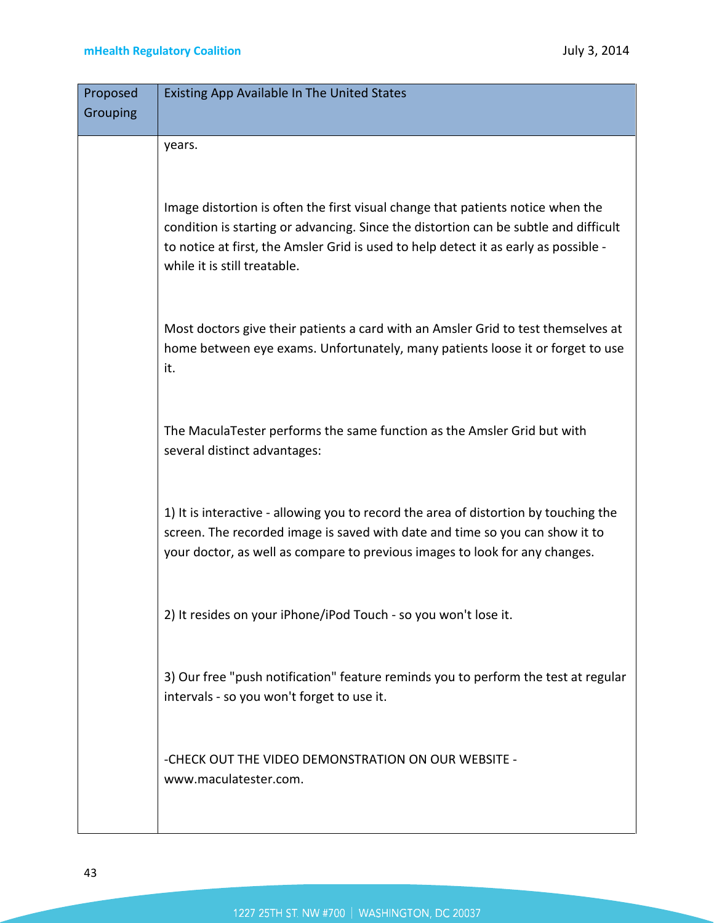| Proposed | <b>Existing App Available In The United States</b>                                                                                                                                                                                                                                              |
|----------|-------------------------------------------------------------------------------------------------------------------------------------------------------------------------------------------------------------------------------------------------------------------------------------------------|
| Grouping |                                                                                                                                                                                                                                                                                                 |
|          | years.                                                                                                                                                                                                                                                                                          |
|          | Image distortion is often the first visual change that patients notice when the<br>condition is starting or advancing. Since the distortion can be subtle and difficult<br>to notice at first, the Amsler Grid is used to help detect it as early as possible -<br>while it is still treatable. |
|          | Most doctors give their patients a card with an Amsler Grid to test themselves at<br>home between eye exams. Unfortunately, many patients loose it or forget to use<br>it.                                                                                                                      |
|          | The MaculaTester performs the same function as the Amsler Grid but with<br>several distinct advantages:                                                                                                                                                                                         |
|          | 1) It is interactive - allowing you to record the area of distortion by touching the<br>screen. The recorded image is saved with date and time so you can show it to<br>your doctor, as well as compare to previous images to look for any changes.                                             |
|          | 2) It resides on your iPhone/iPod Touch - so you won't lose it.                                                                                                                                                                                                                                 |
|          | 3) Our free "push notification" feature reminds you to perform the test at regular<br>intervals - so you won't forget to use it.                                                                                                                                                                |
|          | -CHECK OUT THE VIDEO DEMONSTRATION ON OUR WEBSITE -<br>www.maculatester.com.                                                                                                                                                                                                                    |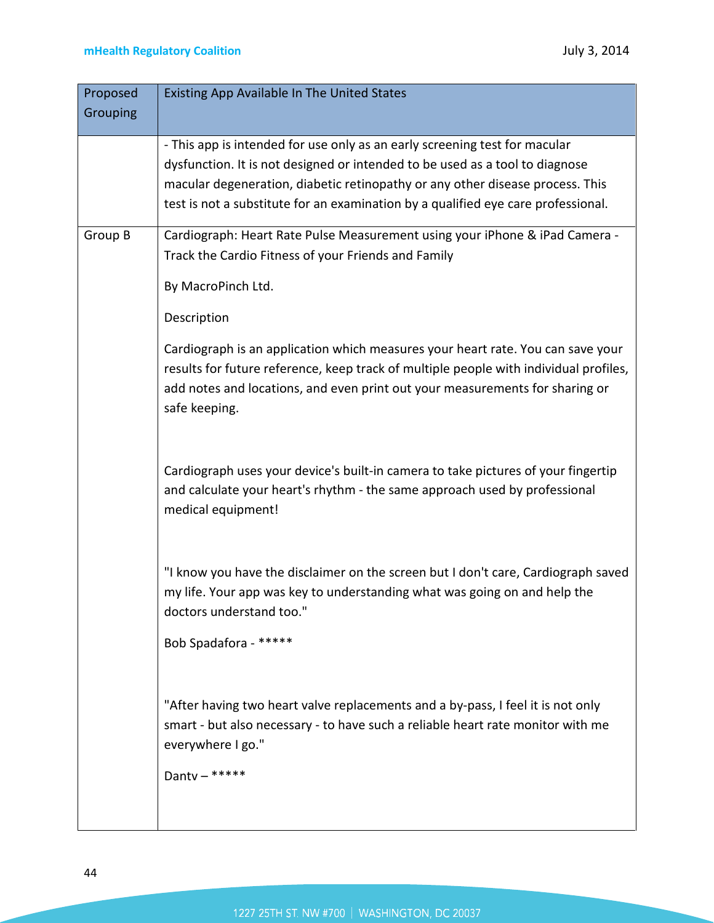| Proposed | Existing App Available In The United States                                                                                                                                                                                                                               |
|----------|---------------------------------------------------------------------------------------------------------------------------------------------------------------------------------------------------------------------------------------------------------------------------|
| Grouping |                                                                                                                                                                                                                                                                           |
|          | - This app is intended for use only as an early screening test for macular                                                                                                                                                                                                |
|          | dysfunction. It is not designed or intended to be used as a tool to diagnose                                                                                                                                                                                              |
|          | macular degeneration, diabetic retinopathy or any other disease process. This                                                                                                                                                                                             |
|          | test is not a substitute for an examination by a qualified eye care professional.                                                                                                                                                                                         |
| Group B  | Cardiograph: Heart Rate Pulse Measurement using your iPhone & iPad Camera -                                                                                                                                                                                               |
|          | Track the Cardio Fitness of your Friends and Family                                                                                                                                                                                                                       |
|          | By MacroPinch Ltd.                                                                                                                                                                                                                                                        |
|          | Description                                                                                                                                                                                                                                                               |
|          | Cardiograph is an application which measures your heart rate. You can save your<br>results for future reference, keep track of multiple people with individual profiles,<br>add notes and locations, and even print out your measurements for sharing or<br>safe keeping. |
|          | Cardiograph uses your device's built-in camera to take pictures of your fingertip<br>and calculate your heart's rhythm - the same approach used by professional<br>medical equipment!                                                                                     |
|          | "I know you have the disclaimer on the screen but I don't care, Cardiograph saved<br>my life. Your app was key to understanding what was going on and help the<br>doctors understand too."                                                                                |
|          | Bob Spadafora - *****                                                                                                                                                                                                                                                     |
|          | "After having two heart valve replacements and a by-pass, I feel it is not only<br>smart - but also necessary - to have such a reliable heart rate monitor with me<br>everywhere I go."<br>Danty $-$ *****                                                                |
|          |                                                                                                                                                                                                                                                                           |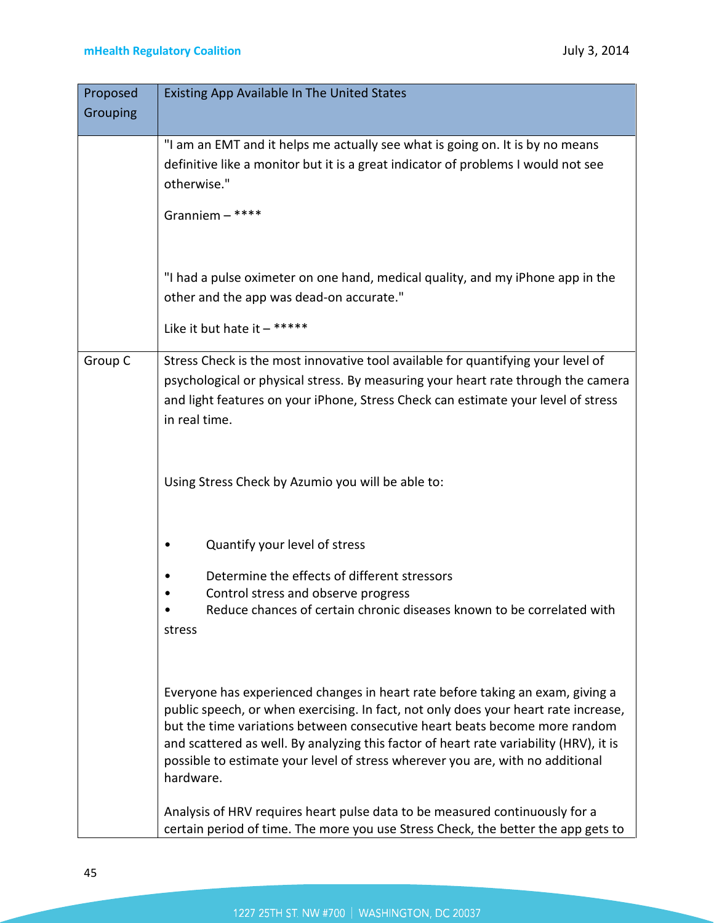| Proposed | <b>Existing App Available In The United States</b>                                                                                                                                                                                                                                                                                                                                                                                                                                                                          |
|----------|-----------------------------------------------------------------------------------------------------------------------------------------------------------------------------------------------------------------------------------------------------------------------------------------------------------------------------------------------------------------------------------------------------------------------------------------------------------------------------------------------------------------------------|
| Grouping |                                                                                                                                                                                                                                                                                                                                                                                                                                                                                                                             |
|          | "I am an EMT and it helps me actually see what is going on. It is by no means                                                                                                                                                                                                                                                                                                                                                                                                                                               |
|          | definitive like a monitor but it is a great indicator of problems I would not see<br>otherwise."                                                                                                                                                                                                                                                                                                                                                                                                                            |
|          | Granniem $-$ ****                                                                                                                                                                                                                                                                                                                                                                                                                                                                                                           |
|          | "I had a pulse oximeter on one hand, medical quality, and my iPhone app in the<br>other and the app was dead-on accurate."                                                                                                                                                                                                                                                                                                                                                                                                  |
|          | Like it but hate it $-$ *****                                                                                                                                                                                                                                                                                                                                                                                                                                                                                               |
| Group C  | Stress Check is the most innovative tool available for quantifying your level of<br>psychological or physical stress. By measuring your heart rate through the camera<br>and light features on your iPhone, Stress Check can estimate your level of stress<br>in real time.                                                                                                                                                                                                                                                 |
|          | Using Stress Check by Azumio you will be able to:                                                                                                                                                                                                                                                                                                                                                                                                                                                                           |
|          | Quantify your level of stress                                                                                                                                                                                                                                                                                                                                                                                                                                                                                               |
|          | Determine the effects of different stressors                                                                                                                                                                                                                                                                                                                                                                                                                                                                                |
|          | Control stress and observe progress<br>Reduce chances of certain chronic diseases known to be correlated with<br>stress                                                                                                                                                                                                                                                                                                                                                                                                     |
|          | Everyone has experienced changes in heart rate before taking an exam, giving a<br>public speech, or when exercising. In fact, not only does your heart rate increase,<br>but the time variations between consecutive heart beats become more random<br>and scattered as well. By analyzing this factor of heart rate variability (HRV), it is<br>possible to estimate your level of stress wherever you are, with no additional<br>hardware.<br>Analysis of HRV requires heart pulse data to be measured continuously for a |
|          | certain period of time. The more you use Stress Check, the better the app gets to                                                                                                                                                                                                                                                                                                                                                                                                                                           |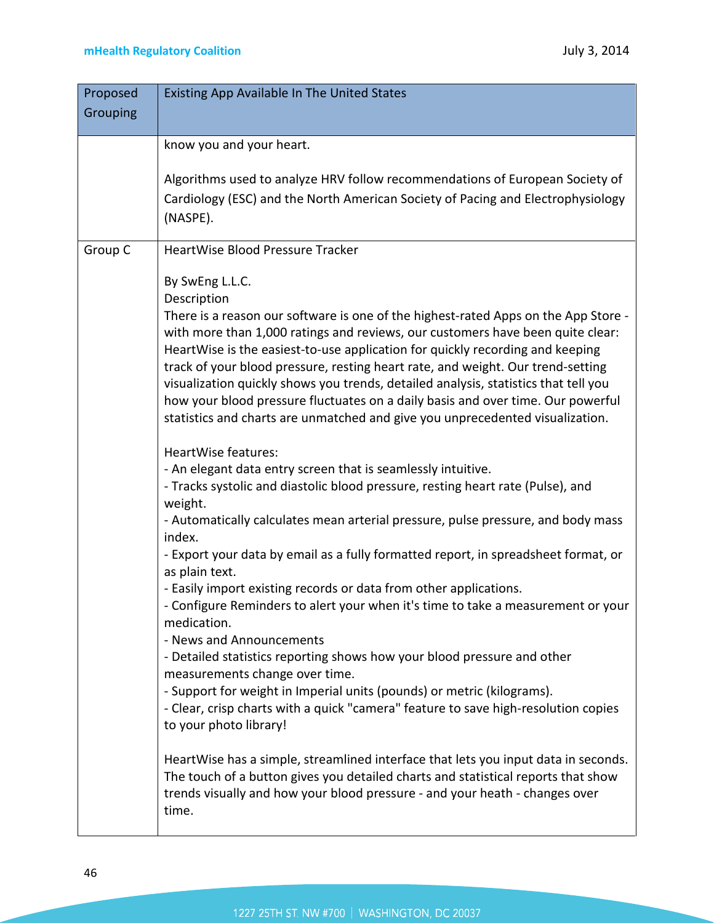| Proposed<br>Grouping | <b>Existing App Available In The United States</b>                                                                                                                                                                                                                                                                                                                                                                                                                                                                                                                                                                                    |
|----------------------|---------------------------------------------------------------------------------------------------------------------------------------------------------------------------------------------------------------------------------------------------------------------------------------------------------------------------------------------------------------------------------------------------------------------------------------------------------------------------------------------------------------------------------------------------------------------------------------------------------------------------------------|
|                      | know you and your heart.                                                                                                                                                                                                                                                                                                                                                                                                                                                                                                                                                                                                              |
|                      | Algorithms used to analyze HRV follow recommendations of European Society of<br>Cardiology (ESC) and the North American Society of Pacing and Electrophysiology<br>(NASPE).                                                                                                                                                                                                                                                                                                                                                                                                                                                           |
| Group C              | HeartWise Blood Pressure Tracker                                                                                                                                                                                                                                                                                                                                                                                                                                                                                                                                                                                                      |
|                      | By SwEng L.L.C.<br>Description<br>There is a reason our software is one of the highest-rated Apps on the App Store -<br>with more than 1,000 ratings and reviews, our customers have been quite clear:<br>HeartWise is the easiest-to-use application for quickly recording and keeping<br>track of your blood pressure, resting heart rate, and weight. Our trend-setting<br>visualization quickly shows you trends, detailed analysis, statistics that tell you<br>how your blood pressure fluctuates on a daily basis and over time. Our powerful<br>statistics and charts are unmatched and give you unprecedented visualization. |
|                      | HeartWise features:<br>- An elegant data entry screen that is seamlessly intuitive.<br>- Tracks systolic and diastolic blood pressure, resting heart rate (Pulse), and<br>weight.<br>- Automatically calculates mean arterial pressure, pulse pressure, and body mass<br>index.                                                                                                                                                                                                                                                                                                                                                       |
|                      | - Export your data by email as a fully formatted report, in spreadsheet format, or<br>as plain text.<br>- Easily import existing records or data from other applications.<br>- Configure Reminders to alert your when it's time to take a measurement or your<br>medication.<br>- News and Announcements                                                                                                                                                                                                                                                                                                                              |
|                      | - Detailed statistics reporting shows how your blood pressure and other<br>measurements change over time.<br>- Support for weight in Imperial units (pounds) or metric (kilograms).<br>- Clear, crisp charts with a quick "camera" feature to save high-resolution copies<br>to your photo library!                                                                                                                                                                                                                                                                                                                                   |
|                      | HeartWise has a simple, streamlined interface that lets you input data in seconds.<br>The touch of a button gives you detailed charts and statistical reports that show<br>trends visually and how your blood pressure - and your heath - changes over<br>time.                                                                                                                                                                                                                                                                                                                                                                       |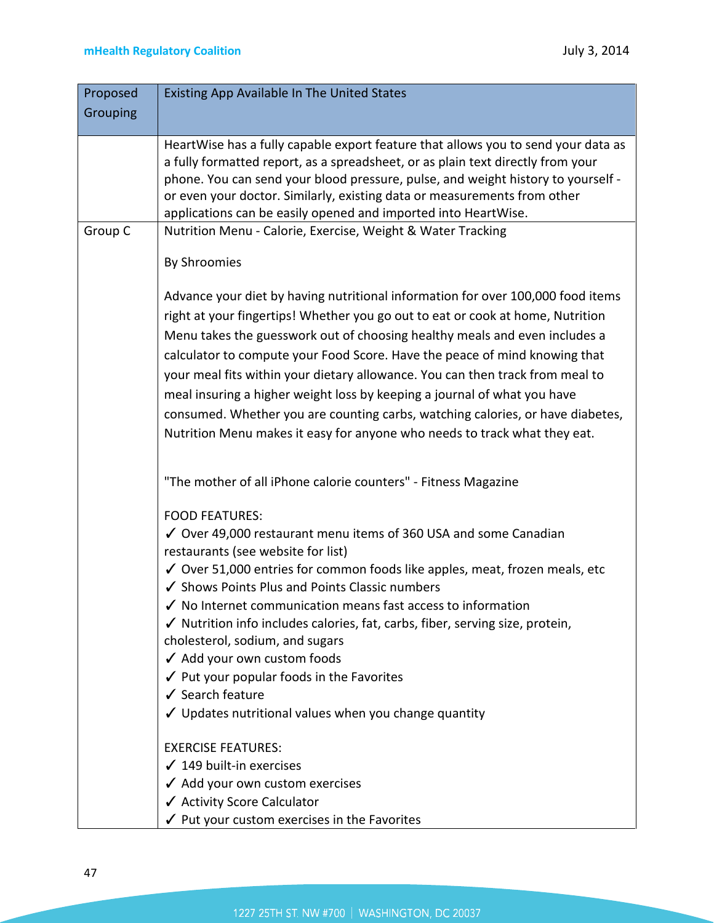| Proposed | <b>Existing App Available In The United States</b>                                                                                                                                                                                                                                                                                                                                                                                                                                                                                                                                                                                                        |
|----------|-----------------------------------------------------------------------------------------------------------------------------------------------------------------------------------------------------------------------------------------------------------------------------------------------------------------------------------------------------------------------------------------------------------------------------------------------------------------------------------------------------------------------------------------------------------------------------------------------------------------------------------------------------------|
| Grouping |                                                                                                                                                                                                                                                                                                                                                                                                                                                                                                                                                                                                                                                           |
|          | HeartWise has a fully capable export feature that allows you to send your data as<br>a fully formatted report, as a spreadsheet, or as plain text directly from your<br>phone. You can send your blood pressure, pulse, and weight history to yourself -<br>or even your doctor. Similarly, existing data or measurements from other<br>applications can be easily opened and imported into HeartWise.                                                                                                                                                                                                                                                    |
| Group C  | Nutrition Menu - Calorie, Exercise, Weight & Water Tracking                                                                                                                                                                                                                                                                                                                                                                                                                                                                                                                                                                                               |
|          | By Shroomies                                                                                                                                                                                                                                                                                                                                                                                                                                                                                                                                                                                                                                              |
|          | Advance your diet by having nutritional information for over 100,000 food items<br>right at your fingertips! Whether you go out to eat or cook at home, Nutrition<br>Menu takes the guesswork out of choosing healthy meals and even includes a<br>calculator to compute your Food Score. Have the peace of mind knowing that<br>your meal fits within your dietary allowance. You can then track from meal to<br>meal insuring a higher weight loss by keeping a journal of what you have<br>consumed. Whether you are counting carbs, watching calories, or have diabetes,<br>Nutrition Menu makes it easy for anyone who needs to track what they eat. |
|          | "The mother of all iPhone calorie counters" - Fitness Magazine<br><b>FOOD FEATURES:</b><br>√ Over 49,000 restaurant menu items of 360 USA and some Canadian<br>restaurants (see website for list)<br>√ Over 51,000 entries for common foods like apples, meat, frozen meals, etc                                                                                                                                                                                                                                                                                                                                                                          |
|          | ✔ Shows Points Plus and Points Classic numbers<br>$\checkmark$ No Internet communication means fast access to information<br>√ Nutrition info includes calories, fat, carbs, fiber, serving size, protein,<br>cholesterol, sodium, and sugars<br>√ Add your own custom foods<br>✔ Put your popular foods in the Favorites<br>✔ Search feature<br>✔ Updates nutritional values when you change quantity                                                                                                                                                                                                                                                    |
|          | <b>EXERCISE FEATURES:</b><br>$\checkmark$ 149 built-in exercises<br>✔ Add your own custom exercises<br>✔ Activity Score Calculator<br>$\checkmark$ Put your custom exercises in the Favorites                                                                                                                                                                                                                                                                                                                                                                                                                                                             |